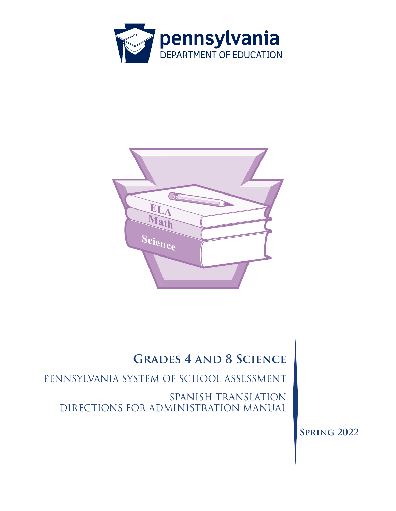



### **Grades 4 and 8 Science**

PENNSYLVANIA SYSTEM OF SCHOOL ASSESSMENT

SPANISH TRANSLATION DIRECTIONS FOR ADMINISTRATION MANUAL

**Spring 2022**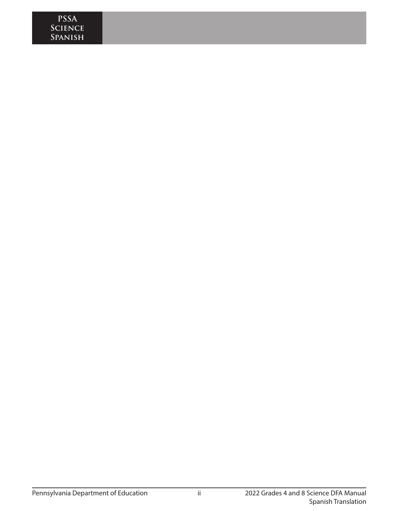| <b>PSSA</b>    |  |  |  |
|----------------|--|--|--|
| <b>SCIENCE</b> |  |  |  |
| <b>SPANISH</b> |  |  |  |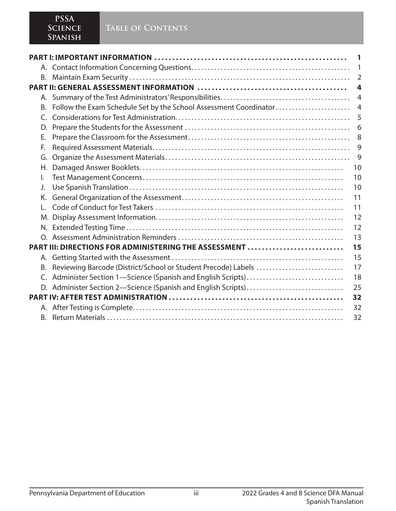### **Table of Contents**

**PSSA Science Spanish**

|                |                                                                   | 1                       |
|----------------|-------------------------------------------------------------------|-------------------------|
|                |                                                                   | $\overline{2}$          |
|                |                                                                   | $\overline{\mathbf{A}}$ |
|                |                                                                   | $\overline{4}$          |
| В.             | Follow the Exam Schedule Set by the School Assessment Coordinator | $\overline{4}$          |
| $\mathsf{C}$ . |                                                                   | 5                       |
| D.             |                                                                   | 6                       |
| Е.             |                                                                   | 8                       |
| F.             |                                                                   | 9                       |
| G.             |                                                                   | 9                       |
| Η.             |                                                                   | 10                      |
| L.             |                                                                   | 10                      |
| $\perp$        |                                                                   | 10                      |
|                |                                                                   | 11                      |
|                |                                                                   | 11                      |
|                |                                                                   | 12                      |
|                |                                                                   | 12                      |
|                |                                                                   | 13                      |
|                | PART III: DIRECTIONS FOR ADMINISTERING THE ASSESSMENT             | 15                      |
|                |                                                                   | 15                      |
| B.             |                                                                   | 17                      |
|                |                                                                   | 18                      |
|                | D. Administer Section 2-Science (Spanish and English Scripts)     | 25                      |
|                |                                                                   | 32                      |
|                |                                                                   | 32                      |
|                |                                                                   | 32                      |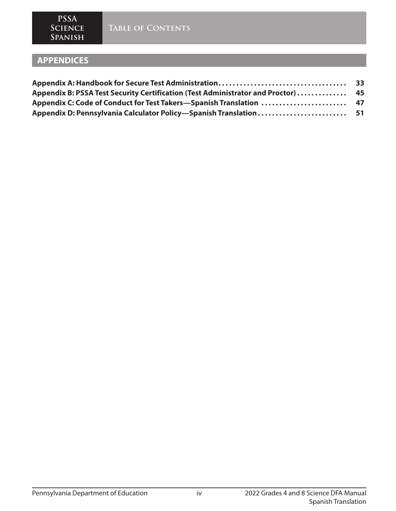### **APPENDICES**

| Appendix B: PSSA Test Security Certification (Test Administrator and Proctor) 45 |  |
|----------------------------------------------------------------------------------|--|
| Appendix C: Code of Conduct for Test Takers-Spanish Translation  47              |  |
|                                                                                  |  |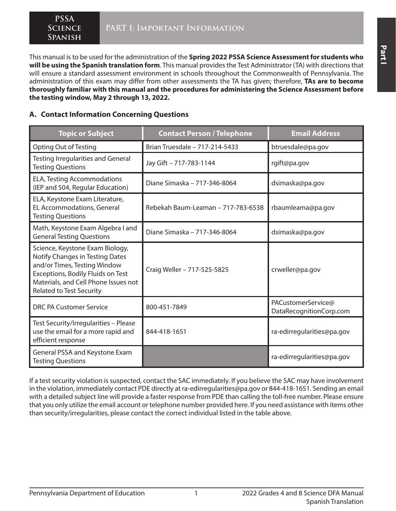<span id="page-4-0"></span>This manual is to be used for the administration of the **Spring 2022 PSSA Science Assessment for students who will be using the Spanish translation form**. This manual provides the Test Administrator (TA) with directions that will ensure a standard assessment environment in schools throughout the Commonwealth of Pennsylvania. The administration of this exam may differ from other assessments the TA has given; therefore, **TAs are to become thoroughly familiar with this manual and the procedures for administering the Science Assessment before the testing window, May 2 through 13, 2022.**

#### **A. Contact Information Concerning Questions**

| <b>Topic or Subject</b>                                                                                                                                                                                            | <b>Contact Person / Telephone</b>  | <b>Email Address</b>                          |  |
|--------------------------------------------------------------------------------------------------------------------------------------------------------------------------------------------------------------------|------------------------------------|-----------------------------------------------|--|
| <b>Opting Out of Testing</b>                                                                                                                                                                                       | Brian Truesdale - 717-214-5433     | btruesdale@pa.gov                             |  |
| <b>Testing Irregularities and General</b><br><b>Testing Questions</b>                                                                                                                                              | Jay Gift - 717-783-1144            | rgift@pa.gov                                  |  |
| <b>ELA, Testing Accommodations</b><br>(IEP and 504, Regular Education)                                                                                                                                             | Diane Simaska - 717-346-8064       | dsimaska@pa.gov                               |  |
| ELA, Keystone Exam Literature,<br>EL Accommodations, General<br><b>Testing Questions</b>                                                                                                                           | Rebekah Baum-Leaman - 717-783-6538 | rbaumleama@pa.gov                             |  |
| Math, Keystone Exam Algebra I and<br><b>General Testing Questions</b>                                                                                                                                              | Diane Simaska - 717-346-8064       | dsimaska@pa.gov                               |  |
| Science, Keystone Exam Biology,<br>Notify Changes in Testing Dates<br>and/or Times, Testing Window<br>Exceptions, Bodily Fluids on Test<br>Materials, and Cell Phone Issues not<br><b>Related to Test Security</b> | Craig Weller - 717-525-5825        | crweller@pa.gov                               |  |
| <b>DRC PA Customer Service</b>                                                                                                                                                                                     | 800-451-7849                       | PACustomerService@<br>DataRecognitionCorp.com |  |
| Test Security/Irregularities - Please<br>use the email for a more rapid and<br>efficient response                                                                                                                  | 844-418-1651                       | ra-edirregularities@pa.gov                    |  |
| General PSSA and Keystone Exam<br><b>Testing Questions</b>                                                                                                                                                         |                                    | ra-edirregularities@pa.gov                    |  |

If a test security violation is suspected, contact the SAC immediately. If you believe the SAC may have involvement in the violation, immediately contact PDE directly at [ra-edirregularities@pa.gov](mailto:ra-edirregularities%40pa.gov?subject=) or 844-418-1651. Sending an email with a detailed subject line will provide a faster response from PDE than calling the toll-free number. Please ensure that you only utilize the email account or telephone number provided here. If you need assistance with items other than security/irregularities, please contact the correct individual listed in the table above.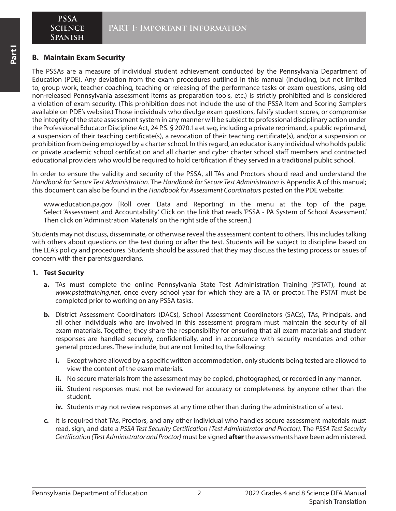#### **B. Maintain Exam Security**

<span id="page-5-0"></span>**PSSA Science Spanish**

The PSSAs are a measure of individual student achievement conducted by the Pennsylvania Department of Education (PDE). Any deviation from the exam procedures outlined in this manual (including, but not limited to, group work, teacher coaching, teaching or releasing of the performance tasks or exam questions, using old non-released Pennsylvania assessment items as preparation tools, etc.) is strictly prohibited and is considered a violation of exam security. (This prohibition does not include the use of the PSSA Item and Scoring Samplers available on PDE's website.) Those individuals who divulge exam questions, falsify student scores, or compromise the integrity of the state assessment system in any manner will be subject to professional disciplinary action under the Professional Educator Discipline Act, 24 P.S. § 2070.1a et seq, including a private reprimand, a public reprimand, a suspension of their teaching certificate(s), a revocation of their teaching certificate(s), and/or a suspension or prohibition from being employed by a charter school. In this regard, an educator is any individual who holds public or private academic school certification and all charter and cyber charter school staff members and contracted educational providers who would be required to hold certification if they served in a traditional public school.

In order to ensure the validity and security of the PSSA, all TAs and Proctors should read and understand the *Handbook for Secure Test Administration*. The *Handbook for Secure Test Administration* is Appendix A of this manual; this document can also be found in the *Handbook for Assessment Coordinators* posted on the PDE website:

[www.education.pa.gov](http://www.education.pa.gov) [Roll over 'Data and Reporting' in the menu at the top of the page. Select 'Assessment and Accountability.' Click on the link that reads 'PSSA - PA System of School Assessment.' Then click on 'Administration Materials' on the right side of the screen.]

Students may not discuss, disseminate, or otherwise reveal the assessment content to others. This includes talking with others about questions on the test during or after the test. Students will be subject to discipline based on the LEA's policy and procedures. Students should be assured that they may discuss the testing process or issues of concern with their parents/guardians.

#### **1. Test Security**

- **a.** TAs must complete the online Pennsylvania State Test Administration Training (PSTAT), found at *[www.pstattraining.net](http://www.pstattraining.net)*, once every school year for which they are a TA or proctor. The PSTAT must be completed prior to working on any PSSA tasks.
- **b.** District Assessment Coordinators (DACs), School Assessment Coordinators (SACs), TAs, Principals, and all other individuals who are involved in this assessment program must maintain the security of all exam materials. Together, they share the responsibility for ensuring that all exam materials and student responses are handled securely, confidentially, and in accordance with security mandates and other general procedures. These include, but are not limited to, the following:
	- **i.** Except where allowed by a specific written accommodation, only students being tested are allowed to view the content of the exam materials.
	- **ii.** No secure materials from the assessment may be copied, photographed, or recorded in any manner.
	- **iii.** Student responses must not be reviewed for accuracy or completeness by anyone other than the student.
	- **iv.** Students may not review responses at any time other than during the administration of a test.
- **c.** It is required that TAs, Proctors, and any other individual who handles secure assessment materials must read, sign, and date a *PSSA Test Security Certification (Test Administrator and Proctor)*. The *PSSA Test Security Certification (Test Administrator and Proctor)* must be signed **after** the assessments have been administered.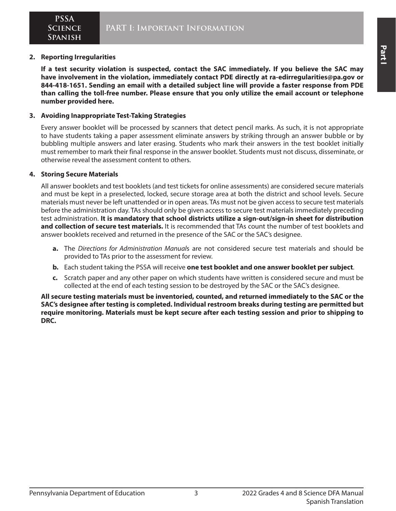#### **2. Reporting Irregularities**

**If a test security violation is suspected, contact the SAC immediately. If you believe the SAC may have involvement in the violation, immediately contact PDE directly at [ra-edirregularities@pa.gov](mailto:ra-edirregularities%40pa.gov?subject=) or 844-418-1651. Sending an email with a detailed subject line will provide a faster response from PDE than calling the toll-free number. Please ensure that you only utilize the email account or telephone number provided here.**

#### **3. Avoiding Inappropriate Test-Taking Strategies**

Every answer booklet will be processed by scanners that detect pencil marks. As such, it is not appropriate to have students taking a paper assessment eliminate answers by striking through an answer bubble or by bubbling multiple answers and later erasing. Students who mark their answers in the test booklet initially must remember to mark their final response in the answer booklet. Students must not discuss, disseminate, or otherwise reveal the assessment content to others.

#### **4. Storing Secure Materials**

All answer booklets and test booklets (and test tickets for online assessments) are considered secure materials and must be kept in a preselected, locked, secure storage area at both the district and school levels. Secure materials must never be left unattended or in open areas. TAs must not be given access to secure test materials before the administration day. TAs should only be given access to secure test materials immediately preceding test administration. **It is mandatory that school districts utilize a sign-out/sign-in sheet for distribution and collection of secure test materials.** It is recommended that TAs count the number of test booklets and answer booklets received and returned in the presence of the SAC or the SAC's designee.

- **a.** The *Directions for Administration Manual*s are not considered secure test materials and should be provided to TAs prior to the assessment for review.
- **b.** Each student taking the PSSA will receive **one test booklet and one answer booklet per subject**.
- **c.** Scratch paper and any other paper on which students have written is considered secure and must be collected at the end of each testing session to be destroyed by the SAC or the SAC's designee.

**All secure testing materials must be inventoried, counted, and returned immediately to the SAC or the SAC's designee after testing is completed. Individual restroom breaks during testing are permitted but require monitoring. Materials must be kept secure after each testing session and prior to shipping to DRC.**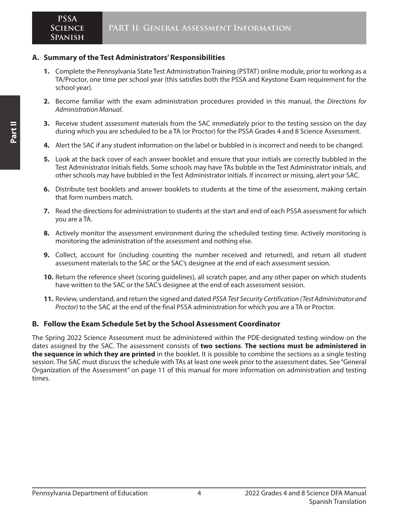#### <span id="page-7-0"></span>**A. Summary of the Test Administrators' Responsibilities**

- **1.** Complete the Pennsylvania State Test Administration Training (PSTAT) online module, prior to working as a TA/Proctor, one time per school year (this satisfies both the PSSA and Keystone Exam requirement for the school year).
- **2.** Become familiar with the exam administration procedures provided in this manual, the *Directions for Administration Manual*.
- **3.** Receive student assessment materials from the SAC immediately prior to the testing session on the day during which you are scheduled to be a TA (or Proctor) for the PSSA Grades 4 and 8 Science Assessment.
- **4.** Alert the SAC if any student information on the label or bubbled in is incorrect and needs to be changed.
- **5.** Look at the back cover of each answer booklet and ensure that your initials are correctly bubbled in the Test Administrator Initials fields. Some schools may have TAs bubble in the Test Administrator initials, and other schools may have bubbled in the Test Administrator initials. If incorrect or missing, alert your SAC.
- **6.** Distribute test booklets and answer booklets to students at the time of the assessment, making certain that form numbers match.
- **7.** Read the directions for administration to students at the start and end of each PSSA assessment for which you are a TA.
- **8.** Actively monitor the assessment environment during the scheduled testing time. Actively monitoring is monitoring the administration of the assessment and nothing else.
- **9.** Collect, account for (including counting the number received and returned), and return all student assessment materials to the SAC or the SAC's designee at the end of each assessment session.
- **10.** Return the reference sheet (scoring guidelines), all scratch paper, and any other paper on which students have written to the SAC or the SAC's designee at the end of each assessment session.
- **11.** Review, understand, and return the signed and dated *PSSA Test Security Certification (Test Administrator and Proctor)* to the SAC at the end of the final PSSA administration for which you are a TA or Proctor.

#### **B. Follow the Exam Schedule Set by the School Assessment Coordinator**

The Spring 2022 Science Assessment must be administered within the PDE-designated testing window on the dates assigned by the SAC. The assessment consists of **two sections**. **The sections must be administered in the sequence in which they are printed** in the booklet. It is possible to combine the sections as a single testing session. The SAC must discuss the schedule with TAs at least one week prior to the assessment dates. See "General Organization of the Assessment" on page 11 of this manual for more information on administration and testing times.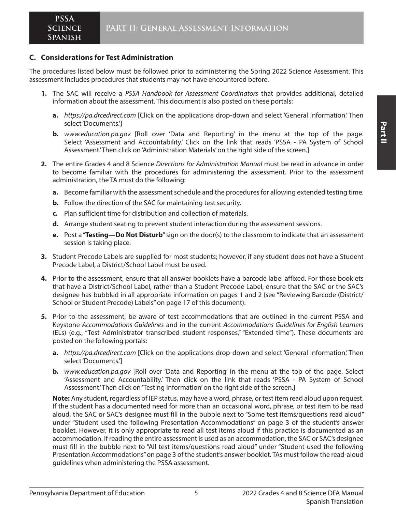#### <span id="page-8-0"></span>**C. Considerations for Test Administration**

The procedures listed below must be followed prior to administering the Spring 2022 Science Assessment. This assessment includes procedures that students may not have encountered before.

- **1.** The SAC will receive a *PSSA Handbook for Assessment Coordinators* that provides additional, detailed information about the assessment. This document is also posted on these portals:
	- **a.** *<https://pa.drcedirect.com>* [Click on the applications drop-down and select 'General Information.' Then select 'Documents.']
	- **b.** *[www.education.pa.gov](http://www.education.pa.gov)* [Roll over 'Data and Reporting' in the menu at the top of the page. Select 'Assessment and Accountability.' Click on the link that reads 'PSSA - PA System of School Assessment.' Then click on 'Administration Materials' on the right side of the screen.]
- **2.** The entire Grades 4 and 8 Science *Directions for Administration Manual* must be read in advance in order to become familiar with the procedures for administering the assessment. Prior to the assessment administration, the TA must do the following:
	- **a.** Become familiar with the assessment schedule and the procedures for allowing extended testing time.
	- **b.** Follow the direction of the SAC for maintaining test security.
	- **c.** Plan sufficient time for distribution and collection of materials.
	- **d.** Arrange student seating to prevent student interaction during the assessment sessions.
	- **e.** Post a "**Testing—Do Not Disturb**" sign on the door(s) to the classroom to indicate that an assessment session is taking place.
- **3.** Student Precode Labels are supplied for most students; however, if any student does not have a Student Precode Label, a District/School Label must be used.
- **4.** Prior to the assessment, ensure that all answer booklets have a barcode label affixed. For those booklets that have a District/School Label, rather than a Student Precode Label, ensure that the SAC or the SAC's designee has bubbled in all appropriate information on pages 1 and 2 (see "Reviewing Barcode (District/ School or Student Precode) Labels" on page [17](#page-20-1) of this document).
- **5.** Prior to the assessment, be aware of test accommodations that are outlined in the current PSSA and Keystone *Accommodations Guidelines* and in the current *Accommodations Guidelines for English Learners* (ELs) (e.g., "Test Administrator transcribed student responses," "Extended time"). These documents are posted on the following portals:
	- **a.** *<https://pa.drcedirect.com>* [Click on the applications drop-down and select 'General Information.' Then select 'Documents.']
	- **b.** *[www.education.pa.gov](http://www.education.pa.gov)* [Roll over 'Data and Reporting' in the menu at the top of the page. Select 'Assessment and Accountability.' Then click on the link that reads 'PSSA - PA System of School Assessment.' Then click on 'Testing Information' on the right side of the screen.]

**Note:** Any student, regardless of IEP status, may have a word, phrase, or test item read aloud upon request. If the student has a documented need for more than an occasional word, phrase, or test item to be read aloud, the SAC or SAC's designee must fill in the bubble next to "Some test items/questions read aloud" under "Student used the following Presentation Accommodations" on page 3 of the student's answer booklet. However, it is only appropriate to read all test items aloud if this practice is documented as an accommodation. If reading the entire assessment is used as an accommodation, the SAC or SAC's designee must fill in the bubble next to "All test items/questions read aloud" under "Student used the following Presentation Accommodations" on page 3 of the student's answer booklet. TAs must follow the read-aloud guidelines when administering the PSSA assessment.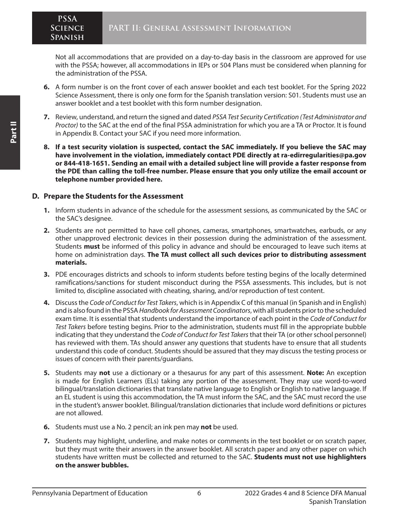#### <span id="page-9-0"></span>**PSSA Science Spanish**

Not all accommodations that are provided on a day-to-day basis in the classroom are approved for use with the PSSA; however, all accommodations in IEPs or 504 Plans must be considered when planning for the administration of the PSSA.

- **6.** A form number is on the front cover of each answer booklet and each test booklet. For the Spring 2022 Science Assessment, there is only one form for the Spanish translation version: S01. Students must use an answer booklet and a test booklet with this form number designation.
- **7.** Review, understand, and return the signed and dated *PSSA Test Security Certification (Test Administrator and Proctor)* to the SAC at the end of the final PSSA administration for which you are a TA or Proctor. It is found in Appendix B. Contact your SAC if you need more information.
- **8. If a test security violation is suspected, contact the SAC immediately. If you believe the SAC may have involvement in the violation, immediately contact PDE directly at [ra-edirregularities@pa.gov](mailto:ra-edirregularities%40pa.gov?subject=)  or 844-418-1651. Sending an email with a detailed subject line will provide a faster response from the PDE than calling the toll-free number. Please ensure that you only utilize the email account or telephone number provided here.**

#### **D. Prepare the Students for the Assessment**

- **1.** Inform students in advance of the schedule for the assessment sessions, as communicated by the SAC or the SAC's designee.
- **2.** Students are not permitted to have cell phones, cameras, smartphones, smartwatches, earbuds, or any other unapproved electronic devices in their possession during the administration of the assessment. Students **must** be informed of this policy in advance and should be encouraged to leave such items at home on administration days. **The TA must collect all such devices prior to distributing assessment materials.**
- **3.** PDE encourages districts and schools to inform students before testing begins of the locally determined ramifications/sanctions for student misconduct during the PSSA assessments. This includes, but is not limited to, discipline associated with cheating, sharing, and/or reproduction of test content.
- **4.** Discuss the *Code of Conduct for Test Takers*, which is in Appendix C of this manual (in Spanish and in English) and is also found in the PSSA *Handbook for Assessment Coordinators*, with all students prior to the scheduled exam time. It is essential that students understand the importance of each point in the *Code of Conduct for Test Takers* before testing begins. Prior to the administration, students must fill in the appropriate bubble indicating that they understand the *Code of Conduct for Test Takers* that their TA (or other school personnel) has reviewed with them. TAs should answer any questions that students have to ensure that all students understand this code of conduct. Students should be assured that they may discuss the testing process or issues of concern with their parents/guardians.
- **5.** Students may **not** use a dictionary or a thesaurus for any part of this assessment. **Note:** An exception is made for English Learners (ELs) taking any portion of the assessment. They may use word-to-word bilingual/translation dictionaries that translate native language to English or English to native language. If an EL student is using this accommodation, the TA must inform the SAC, and the SAC must record the use in the student's answer booklet. Bilingual/translation dictionaries that include word definitions or pictures are not allowed.
- **6.** Students must use a No. 2 pencil; an ink pen may **not** be used.
- **7.** Students may highlight, underline, and make notes or comments in the test booklet or on scratch paper, but they must write their answers in the answer booklet. All scratch paper and any other paper on which students have written must be collected and returned to the SAC. **Students must not use highlighters on the answer bubbles.**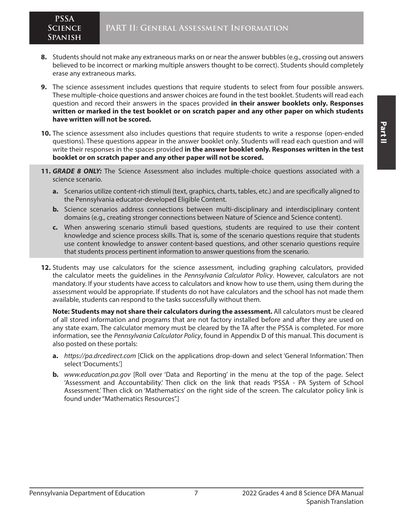- **8.** Students should not make any extraneous marks on or near the answer bubbles (e.g., crossing out answers believed to be incorrect or marking multiple answers thought to be correct). Students should completely erase any extraneous marks.
- **9.** The science assessment includes questions that require students to select from four possible answers. These multiple-choice questions and answer choices are found in the test booklet. Students will read each question and record their answers in the spaces provided **in their answer booklets only. Responses written or marked in the test booklet or on scratch paper and any other paper on which students have written will not be scored.**
- **10.** The science assessment also includes questions that require students to write a response (open-ended questions). These questions appear in the answer booklet only. Students will read each question and will write their responses in the spaces provided **in the answer booklet only. Responses written in the test booklet or on scratch paper and any other paper will not be scored.**
- **11. GRADE 8 ONLY:** The Science Assessment also includes multiple-choice questions associated with a science scenario.
	- **a.** Scenarios utilize content-rich stimuli (text, graphics, charts, tables, etc.) and are specifically aligned to the Pennsylvania educator-developed Eligible Content.
	- **b.** Science scenarios address connections between multi-disciplinary and interdisciplinary content domains (e.g., creating stronger connections between Nature of Science and Science content).
	- **c.** When answering scenario stimuli based questions, students are required to use their content knowledge and science process skills. That is, some of the scenario questions require that students use content knowledge to answer content-based questions, and other scenario questions require that students process pertinent information to answer questions from the scenario.
- **12.** Students may use calculators for the science assessment, including graphing calculators, provided the calculator meets the guidelines in the *Pennsylvania Calculator Policy*. However, calculators are not mandatory. If your students have access to calculators and know how to use them, using them during the assessment would be appropriate. If students do not have calculators and the school has not made them available, students can respond to the tasks successfully without them.

**Note: Students may not share their calculators during the assessment.** All calculators must be cleared of all stored information and programs that are not factory installed before and after they are used on any state exam. The calculator memory must be cleared by the TA after the PSSA is completed. For more information, see the *Pennsylvania Calculator Policy*, found in Appendix D of this manual. This document is also posted on these portals:

- **a.** *<https://pa.drcedirect.com>* [Click on the applications drop-down and select 'General Information.' Then select 'Documents.']
- **b.** *[www.education.pa.gov](http://www.education.pa.gov)* [Roll over 'Data and Reporting' in the menu at the top of the page. Select 'Assessment and Accountability.' Then click on the link that reads 'PSSA - PA System of School Assessment.' Then click on 'Mathematics' on the right side of the screen. The calculator policy link is found under "Mathematics Resources".]

**PSSA Science Spanish**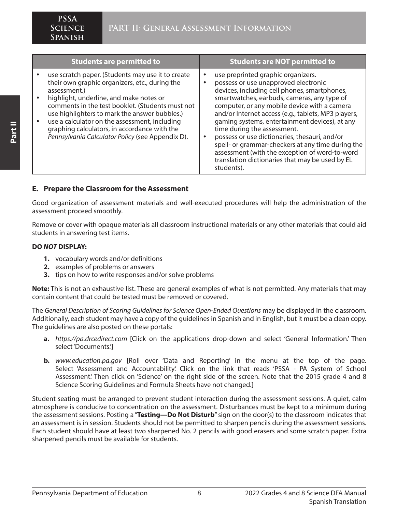<span id="page-11-0"></span>

| <b>Students are permitted to</b>                                                                                                                                                                                                                                                                                                                                                                                         | <b>Students are NOT permitted to</b>                                                                                                                                                                                                                                                                                                                                                                                                                                                                                                                                                       |
|--------------------------------------------------------------------------------------------------------------------------------------------------------------------------------------------------------------------------------------------------------------------------------------------------------------------------------------------------------------------------------------------------------------------------|--------------------------------------------------------------------------------------------------------------------------------------------------------------------------------------------------------------------------------------------------------------------------------------------------------------------------------------------------------------------------------------------------------------------------------------------------------------------------------------------------------------------------------------------------------------------------------------------|
| use scratch paper. (Students may use it to create<br>their own graphic organizers, etc., during the<br>assessment.)<br>highlight, underline, and make notes or<br>comments in the test booklet. (Students must not<br>use highlighters to mark the answer bubbles.)<br>use a calculator on the assessment, including<br>graphing calculators, in accordance with the<br>Pennsylvania Calculator Policy (see Appendix D). | use preprinted graphic organizers.<br>possess or use unapproved electronic<br>devices, including cell phones, smartphones,<br>smartwatches, earbuds, cameras, any type of<br>computer, or any mobile device with a camera<br>and/or Internet access (e.g., tablets, MP3 players,<br>gaming systems, entertainment devices), at any<br>time during the assessment.<br>possess or use dictionaries, thesauri, and/or<br>spell- or grammar-checkers at any time during the<br>assessment (with the exception of word-to-word<br>translation dictionaries that may be used by EL<br>students). |

#### **E. Prepare the Classroom for the Assessment**

Good organization of assessment materials and well-executed procedures will help the administration of the assessment proceed smoothly.

Remove or cover with opaque materials all classroom instructional materials or any other materials that could aid students in answering test items.

#### **DO** *NOT* **DISPLAY:**

- **1.** vocabulary words and/or definitions
- **2.** examples of problems or answers
- **3.** tips on how to write responses and/or solve problems

**Note:** This is not an exhaustive list. These are general examples of what is not permitted. Any materials that may contain content that could be tested must be removed or covered.

The *General Description of Scoring Guidelines for Science Open-Ended Questions* may be displayed in the classroom. Additionally, each student may have a copy of the guidelines in Spanish and in English, but it must be a clean copy. The guidelines are also posted on these portals:

- **a.** *<https://pa.drcedirect.com>* [Click on the applications drop-down and select 'General Information.' Then select 'Documents.']
- **b.** *[www.education.pa.gov](http://www.education.pa.gov)* [Roll over 'Data and Reporting' in the menu at the top of the page. Select 'Assessment and Accountability.' Click on the link that reads 'PSSA - PA System of School Assessment.' Then click on 'Science' on the right side of the screen. Note that the 2015 grade 4 and 8 Science Scoring Guidelines and Formula Sheets have not changed.]

Student seating must be arranged to prevent student interaction during the assessment sessions. A quiet, calm atmosphere is conducive to concentration on the assessment. Disturbances must be kept to a minimum during the assessment sessions. Posting a "**Testing—Do Not Disturb**" sign on the door(s) to the classroom indicates that an assessment is in session. Students should not be permitted to sharpen pencils during the assessment sessions. Each student should have at least two sharpened No. 2 pencils with good erasers and some scratch paper. Extra sharpened pencils must be available for students.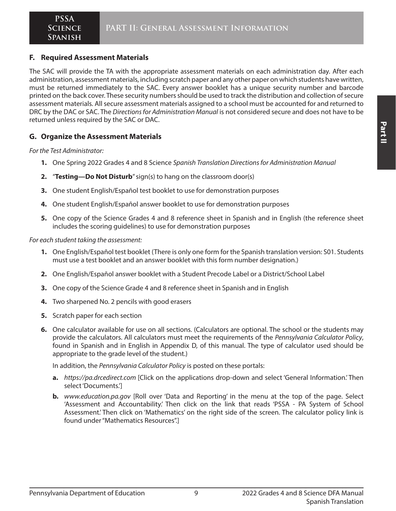#### **F. Required Assessment Materials**

The SAC will provide the TA with the appropriate assessment materials on each administration day. After each administration, assessment materials, including scratch paper and any other paper on which students have written, must be returned immediately to the SAC. Every answer booklet has a unique security number and barcode printed on the back cover. These security numbers should be used to track the distribution and collection of secure assessment materials. All secure assessment materials assigned to a school must be accounted for and returned to DRC by the DAC or SAC. The *Directions for Administration Manual* is not considered secure and does not have to be returned unless required by the SAC or DAC.

#### **G. Organize the Assessment Materials**

*For the Test Administrator:*

<span id="page-12-0"></span>**PSSA Science Spanish**

- **1.** One Spring 2022 Grades 4 and 8 Science *Spanish Translation Directions for Administration Manual*
- **2.** "**Testing—Do Not Disturb**" sign(s) to hang on the classroom door(s)
- **3.** One student English/Español test booklet to use for demonstration purposes
- **4.** One student English/Español answer booklet to use for demonstration purposes
- **5.** One copy of the Science Grades 4 and 8 reference sheet in Spanish and in English (the reference sheet includes the scoring guidelines) to use for demonstration purposes

*For each student taking the assessment:*

- **1.** One English/Español test booklet (There is only one form for the Spanish translation version: S01. Students must use a test booklet and an answer booklet with this form number designation.)
- **2.** One English/Español answer booklet with a Student Precode Label or a District/School Label
- **3.** One copy of the Science Grade 4 and 8 reference sheet in Spanish and in English
- **4.** Two sharpened No. 2 pencils with good erasers
- **5.** Scratch paper for each section
- **6.** One calculator available for use on all sections. (Calculators are optional. The school or the students may provide the calculators. All calculators must meet the requirements of the *Pennsylvania Calculator Policy*, found in Spanish and in English in Appendix D, of this manual. The type of calculator used should be appropriate to the grade level of the student.)

In addition, the *Pennsylvania Calculator Policy* is posted on these portals:

- **a.** *<https://pa.drcedirect.com>* [Click on the applications drop-down and select 'General Information.' Then select 'Documents.']
- **b.** *[www.education.pa.gov](http://www.education.pa.gov)* [Roll over 'Data and Reporting' in the menu at the top of the page. Select 'Assessment and Accountability.' Then click on the link that reads 'PSSA - PA System of School Assessment.' Then click on 'Mathematics' on the right side of the screen. The calculator policy link is found under "Mathematics Resources".]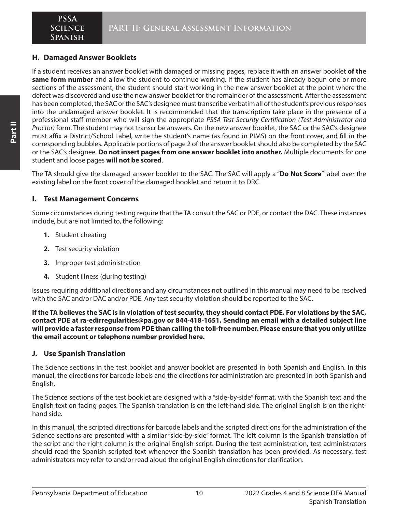**Part II**

#### **H. Damaged Answer Booklets**

<span id="page-13-0"></span>**PSSA Science Spanish**

If a student receives an answer booklet with damaged or missing pages, replace it with an answer booklet **of the same form number** and allow the student to continue working. If the student has already begun one or more sections of the assessment, the student should start working in the new answer booklet at the point where the defect was discovered and use the new answer booklet for the remainder of the assessment. After the assessment has been completed, the SAC or the SAC's designee must transcribe verbatim all of the student's previous responses into the undamaged answer booklet. It is recommended that the transcription take place in the presence of a professional staff member who will sign the appropriate *PSSA Test Security Certification (Test Administrator and Proctor)* form. The student may not transcribe answers. On the new answer booklet, the SAC or the SAC's designee must affix a District/School Label, write the student's name (as found in PIMS) on the front cover, and fill in the corresponding bubbles. Applicable portions of page 2 of the answer booklet should also be completed by the SAC or the SAC's designee. **Do not insert pages from one answer booklet into another.** Multiple documents for one student and loose pages **will not be scored**.

The TA should give the damaged answer booklet to the SAC. The SAC will apply a "**Do Not Score**" label over the existing label on the front cover of the damaged booklet and return it to DRC.

#### **I. Test Management Concerns**

Some circumstances during testing require that the TA consult the SAC or PDE, or contact the DAC. These instances include, but are not limited to, the following:

- **1.** Student cheating
- **2.** Test security violation
- **3.** Improper test administration
- **4.** Student illness (during testing)

Issues requiring additional directions and any circumstances not outlined in this manual may need to be resolved with the SAC and/or DAC and/or PDE. Any test security violation should be reported to the SAC.

**If the TA believes the SAC is in violation of test security, they should contact PDE. For violations by the SAC, contact PDE at [ra-edirregularities@pa.gov](mailto:ra-edirregularities%40pa.gov?subject=) or 844-418-1651. Sending an email with a detailed subject line will provide a faster response from PDE than calling the toll-free number. Please ensure that you only utilize the email account or telephone number provided here.**

#### **J. Use Spanish Translation**

The Science sections in the test booklet and answer booklet are presented in both Spanish and English. In this manual, the directions for barcode labels and the directions for administration are presented in both Spanish and English.

The Science sections of the test booklet are designed with a "side-by-side" format, with the Spanish text and the English text on facing pages. The Spanish translation is on the left-hand side. The original English is on the righthand side.

In this manual, the scripted directions for barcode labels and the scripted directions for the administration of the Science sections are presented with a similar "side-by-side" format. The left column is the Spanish translation of the script and the right column is the original English script. During the test administration, test administrators should read the Spanish scripted text whenever the Spanish translation has been provided. As necessary, test administrators may refer to and/or read aloud the original English directions for clarification.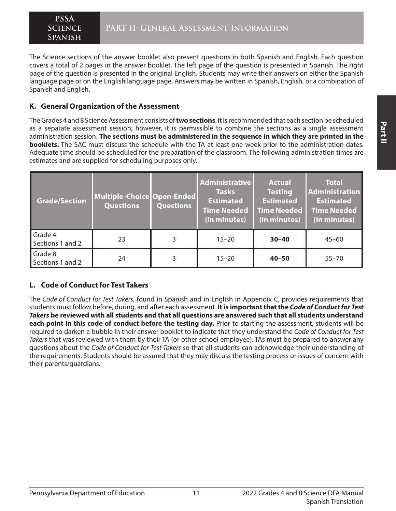<span id="page-14-0"></span>The Science sections of the answer booklet also present questions in both Spanish and English. Each question covers a total of 2 pages in the answer booklet. The left page of the question is presented in Spanish. The right page of the question is presented in the original English. Students may write their answers on either the Spanish language page or on the English language page. Answers may be written in Spanish, English, or a combination of Spanish and English.

#### **K. General Organization of the Assessment**

The Grades 4 and 8 Science Assessment consists of **two sections**. It is recommended that each section be scheduled as a separate assessment session; however, it is permissible to combine the sections as a single assessment administration session. **The sections must be administered in the sequence in which they are printed in the booklets.** The SAC must discuss the schedule with the TA at least one week prior to the administration dates. Adequate time should be scheduled for the preparation of the classroom. The following administration times are estimates and are supplied for scheduling purposes only.

| <b>Grade/Section</b>        | Multiple-Choice   Open-Ended<br><b>Questions</b> | <b>Questions</b> | <b>Administrative</b><br><b>Tasks</b><br><b>Estimated</b><br>Time Needed<br>(in minutes) | <b>Actual</b><br><b>Testing</b><br><b>Estimated</b><br><b>Time Needed</b><br>(in minutes) | <b>Total</b><br>Administration<br><b>Estimated</b><br><b>Time Needed</b><br>(in minutes) |
|-----------------------------|--------------------------------------------------|------------------|------------------------------------------------------------------------------------------|-------------------------------------------------------------------------------------------|------------------------------------------------------------------------------------------|
| Grade 4<br>Sections 1 and 2 | 23                                               | 3                | $15 - 20$                                                                                | $30 - 40$                                                                                 | $45 - 60$                                                                                |
| Grade 8<br>Sections 1 and 2 | 24                                               | 3                | $15 - 20$                                                                                | $40 - 50$                                                                                 | $55 - 70$                                                                                |

#### **L. Code of Conduct for Test Takers**

The *Code of Conduct for Test Takers*, found in Spanish and in English in Appendix C, provides requirements that students must follow before, during, and after each assessment. **It is important that the** *Code of Conduct for Test Takers* **be reviewed with all students and that all questions are answered such that all students understand each point in this code of conduct before the testing day.** Prior to starting the assessment, students will be required to darken a bubble in their answer booklet to indicate that they understand the *Code of Conduct for Test Takers* that was reviewed with them by their TA (or other school employee). TAs must be prepared to answer any questions about the *Code of Conduct for Test Takers* so that all students can acknowledge their understanding of the requirements. Students should be assured that they may discuss the testing process or issues of concern with their parents/guardians.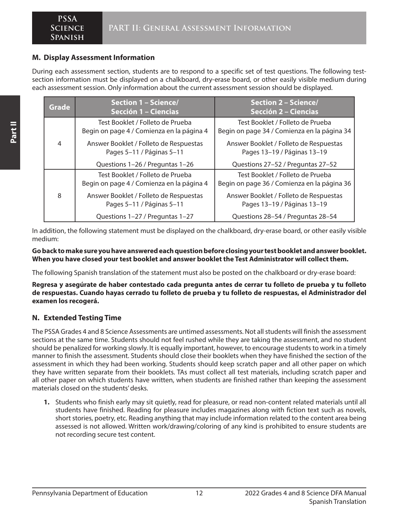#### <span id="page-15-0"></span>**M. Display Assessment Information**

During each assessment section, students are to respond to a specific set of test questions. The following testsection information must be displayed on a chalkboard, dry-erase board, or other easily visible medium during each assessment session. Only information about the current assessment session should be displayed.

| <b>Grade</b> | Section 1 - Science/<br>Sección 1 - Ciencias                                  | <b>Section 2 - Science/</b><br>Sección 2 - Ciencias                             |
|--------------|-------------------------------------------------------------------------------|---------------------------------------------------------------------------------|
|              | Test Booklet / Folleto de Prueba<br>Begin on page 4 / Comienza en la página 4 | Test Booklet / Folleto de Prueba<br>Begin on page 34 / Comienza en la página 34 |
| 4            | Answer Booklet / Folleto de Respuestas<br>Pages 5-11 / Páginas 5-11           | Answer Booklet / Folleto de Respuestas<br>Pages 13-19 / Páginas 13-19           |
|              | Questions 1-26 / Preguntas 1-26                                               | Questions 27-52 / Preguntas 27-52                                               |
|              | Test Booklet / Folleto de Prueba<br>Begin on page 4 / Comienza en la página 4 | Test Booklet / Folleto de Prueba<br>Begin on page 36 / Comienza en la página 36 |
| 8            | Answer Booklet / Folleto de Respuestas<br>Pages 5-11 / Páginas 5-11           | Answer Booklet / Folleto de Respuestas<br>Pages 13-19 / Páginas 13-19           |
|              | Questions 1-27 / Preguntas 1-27                                               | Questions 28-54 / Preguntas 28-54                                               |

In addition, the following statement must be displayed on the chalkboard, dry-erase board, or other easily visible medium:

**Go back to make sure you have answered each question before closing your test booklet and answer booklet. When you have closed your test booklet and answer booklet the Test Administrator will collect them.**

The following Spanish translation of the statement must also be posted on the chalkboard or dry-erase board:

**Regresa y asegúrate de haber contestado cada pregunta antes de cerrar tu folleto de prueba y tu folleto de respuestas. Cuando hayas cerrado tu folleto de prueba y tu folleto de respuestas, el Administrador del examen los recogerá.**

#### **N. Extended Testing Time**

The PSSA Grades 4 and 8 Science Assessments are untimed assessments. Not all students will finish the assessment sections at the same time. Students should not feel rushed while they are taking the assessment, and no student should be penalized for working slowly. It is equally important, however, to encourage students to work in a timely manner to finish the assessment. Students should close their booklets when they have finished the section of the assessment in which they had been working. Students should keep scratch paper and all other paper on which they have written separate from their booklets. TAs must collect all test materials, including scratch paper and all other paper on which students have written, when students are finished rather than keeping the assessment materials closed on the students' desks.

**1.** Students who finish early may sit quietly, read for pleasure, or read non-content related materials until all students have finished. Reading for pleasure includes magazines along with fiction text such as novels, short stories, poetry, etc. Reading anything that may include information related to the content area being assessed is not allowed. Written work/drawing/coloring of any kind is prohibited to ensure students are not recording secure test content.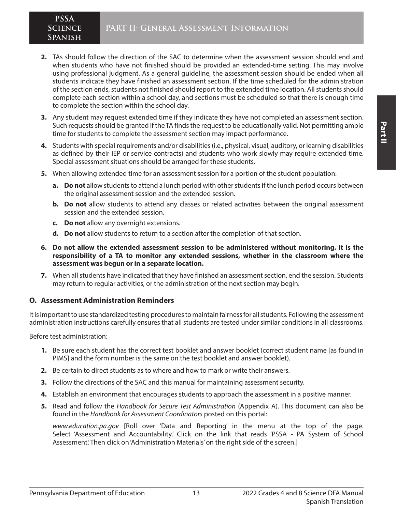#### <span id="page-16-0"></span>**PSSA Science Spanish**

- **2.** TAs should follow the direction of the SAC to determine when the assessment session should end and when students who have not finished should be provided an extended-time setting. This may involve using professional judgment. As a general guideline, the assessment session should be ended when all students indicate they have finished an assessment section. If the time scheduled for the administration of the section ends, students not finished should report to the extended time location. All students should complete each section within a school day, and sections must be scheduled so that there is enough time to complete the section within the school day.
- **3.** Any student may request extended time if they indicate they have not completed an assessment section. Such requests should be granted if the TA finds the request to be educationally valid. Not permitting ample time for students to complete the assessment section may impact performance.
- **4.** Students with special requirements and/or disabilities (i.e., physical, visual, auditory, or learning disabilities as defined by their IEP or service contracts) and students who work slowly may require extended time. Special assessment situations should be arranged for these students.
- **5.** When allowing extended time for an assessment session for a portion of the student population:
	- **a. Do not** allow students to attend a lunch period with other students if the lunch period occurs between the original assessment session and the extended session.
	- **b. Do not** allow students to attend any classes or related activities between the original assessment session and the extended session.
	- **c. Do not** allow any overnight extensions.
	- **d. Do not** allow students to return to a section after the completion of that section.
- **6. Do not allow the extended assessment session to be administered without monitoring. It is the responsibility of a TA to monitor any extended sessions, whether in the classroom where the assessment was begun or in a separate location.**
- **7.** When all students have indicated that they have finished an assessment section, end the session. Students may return to regular activities, or the administration of the next section may begin.

#### **O. Assessment Administration Reminders**

It is important to use standardized testing procedures to maintain fairness for all students. Following the assessment administration instructions carefully ensures that all students are tested under similar conditions in all classrooms.

Before test administration:

- **1.** Be sure each student has the correct test booklet and answer booklet (correct student name [as found in PIMS] and the form number is the same on the test booklet and answer booklet).
- **2.** Be certain to direct students as to where and how to mark or write their answers.
- **3.** Follow the directions of the SAC and this manual for maintaining assessment security.
- **4.** Establish an environment that encourages students to approach the assessment in a positive manner.
- **5.** Read and follow the *Handbook for Secure Test Administration* (Appendix A). This document can also be found in the *Handbook for Assessment Coordinators* posted on this portal:

*[www.education.pa.gov](http://www.education.pa.gov)* [Roll over 'Data and Reporting' in the menu at the top of the page. Select 'Assessment and Accountability.' Click on the link that reads 'PSSA - PA System of School Assessment.' Then click on 'Administration Materials' on the right side of the screen.]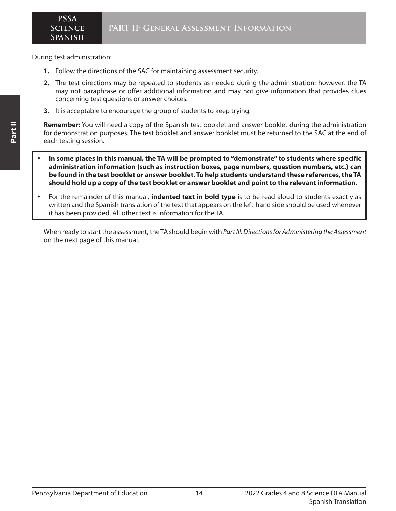During test administration:

- **1.** Follow the directions of the SAC for maintaining assessment security.
- **2.** The test directions may be repeated to students as needed during the administration; however, the TA may not paraphrase or offer additional information and may not give information that provides clues concerning test questions or answer choices.
- **3.** It is acceptable to encourage the group of students to keep trying.

**Remember:** You will need a copy of the Spanish test booklet and answer booklet during the administration for demonstration purposes. The test booklet and answer booklet must be returned to the SAC at the end of each testing session.

- In some places in this manual, the TA will be prompted to "demonstrate" to students where specific **administration information (such as instruction boxes, page numbers, question numbers, etc.) can be found in the test booklet or answer booklet. To help students understand these references, the TA should hold up a copy of the test booklet or answer booklet and point to the relevant information.**
- y For the remainder of this manual, **indented text in bold type** is to be read aloud to students exactly as written and the Spanish translation of the text that appears on the left-hand side should be used whenever it has been provided. All other text is information for the TA.

When ready to start the assessment, the TA should begin with *Part III: Directions for Administering the Assessment* on the next page of this manual.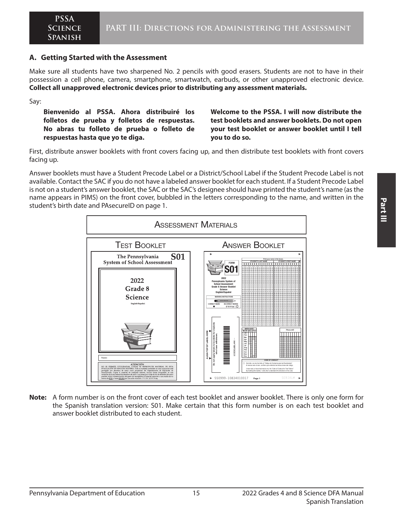#### <span id="page-18-0"></span>**A. Getting Started with the Assessment**

Make sure all students have two sharpened No. 2 pencils with good erasers. Students are not to have in their possession a cell phone, camera, smartphone, smartwatch, earbuds, or other unapproved electronic device. **Collect all unapproved electronic devices prior to distributing any assessment materials.**

Say:

**Bienvenido al PSSA. Ahora distribuiré los folletos de prueba y folletos de respuestas. No abras tu folleto de prueba o folleto de respuestas hasta que yo te diga.**

**Welcome to the PSSA. I will now distribute the test booklets and answer booklets. Do not open your test booklet or answer booklet until I tell you to do so.**

First, distribute answer booklets with front covers facing up, and then distribute test booklets with front covers facing up.

Answer booklets must have a Student Precode Label or a District/School Label if the Student Precode Label is not available. Contact the SAC if you do not have a labeled answer booklet for each student. If a Student Precode Label is not on a student's answer booklet, the SAC or the SAC's designee should have printed the student's name (as the name appears in PIMS) on the front cover, bubbled in the letters corresponding to the name, and written in the student's birth date and PAsecureID on page 1.



**Note:** A form number is on the front cover of each test booklet and answer booklet. There is only one form for the Spanish translation version: S01. Make certain that this form number is on each test booklet and answer booklet distributed to each student.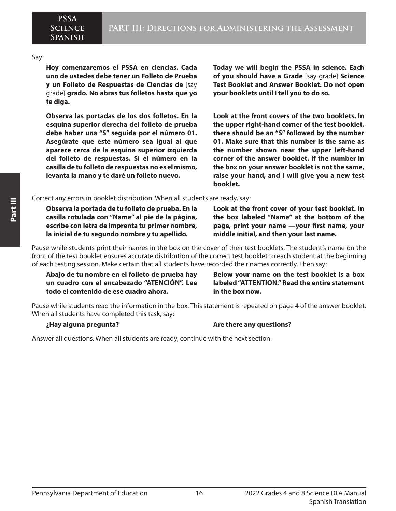#### Say:

**Hoy comenzaremos el PSSA en ciencias. Cada uno de ustedes debe tener un Folleto de Prueba y un Folleto de Respuestas de Ciencias de** [say grade] **grado. No abras tus folletos hasta que yo te diga.**

**Observa las portadas de los dos folletos. En la esquina superior derecha del folleto de prueba debe haber una "S" seguida por el número 01. Asegúrate que este número sea igual al que aparece cerca de la esquina superior izquierda del folleto de respuestas. Si el número en la casilla de tu folleto de respuestas no es el mismo, levanta la mano y te daré un folleto nuevo.**

**Today we will begin the PSSA in science. Each of you should have a Grade** [say grade] **Science Test Booklet and Answer Booklet. Do not open your booklets until I tell you to do so.** 

**Look at the front covers of the two booklets. In the upper right-hand corner of the test booklet, there should be an "S" followed by the number 01. Make sure that this number is the same as the number shown near the upper left-hand corner of the answer booklet. If the number in the box on your answer booklet is not the same, raise your hand, and I will give you a new test booklet.**

Correct any errors in booklet distribution. When all students are ready, say:

**Observa la portada de tu folleto de prueba. En la casilla rotulada con "Name" al pie de la página, escribe con letra de imprenta tu primer nombre, la inicial de tu segundo nombre y tu apellido.**

**Look at the front cover of your test booklet. In the box labeled "Name" at the bottom of the page, print your name —your first name, your middle initial, and then your last name.**

Pause while students print their names in the box on the cover of their test booklets. The student's name on the front of the test booklet ensures accurate distribution of the correct test booklet to each student at the beginning of each testing session. Make certain that all students have recorded their names correctly. Then say:

#### **Abajo de tu nombre en el folleto de prueba hay un cuadro con el encabezado "ATENCIÓN". Lee todo el contenido de ese cuadro ahora.**

#### **Below your name on the test booklet is a box labeled "ATTENTION." Read the entire statement in the box now.**

Pause while students read the information in the box. This statement is repeated on page 4 of the answer booklet. When all students have completed this task, say:

#### **¿Hay alguna pregunta? Are there any questions?**

Answer all questions. When all students are ready, continue with the next section.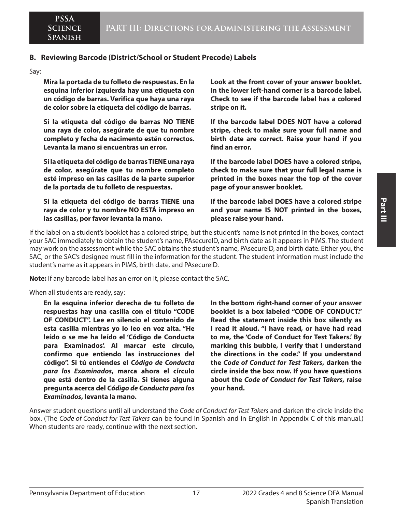#### <span id="page-20-1"></span><span id="page-20-0"></span>**B. Reviewing Barcode (District/School or Student Precode) Labels**

#### Say:

**Mira la portada de tu folleto de respuestas. En la esquina inferior izquierda hay una etiqueta con un código de barras. Verifica que haya una raya de color sobre la etiqueta del código de barras.**

**Si la etiqueta del código de barras NO TIENE una raya de color, asegúrate de que tu nombre completo y fecha de nacimento estén correctos. Levanta la mano si encuentras un error.**

**Si la etiqueta del código de barras TIENE una raya de color, asegúrate que tu nombre completo esté impreso en las casillas de la parte superior de la portada de tu folleto de respuestas.**

#### **Si la etiqueta del código de barras TIENE una raya de color y tu nombre NO ESTÁ impreso en las casillas, por favor levanta la mano.**

**Look at the front cover of your answer booklet. In the lower left-hand corner is a barcode label. Check to see if the barcode label has a colored stripe on it.**

**If the barcode label DOES NOT have a colored stripe, check to make sure your full name and birth date are correct. Raise your hand if you find an error.**

**If the barcode label DOES have a colored stripe, check to make sure that your full legal name is printed in the boxes near the top of the cover page of your answer booklet.**

**If the barcode label DOES have a colored stripe and your name IS NOT printed in the boxes, please raise your hand.**

If the label on a student's booklet has a colored stripe, but the student's name is not printed in the boxes, contact your SAC immediately to obtain the student's name, PAsecureID, and birth date as it appears in PIMS. The student may work on the assessment while the SAC obtains the student's name, PAsecureID, and birth date. Either you, the SAC, or the SAC's designee must fill in the information for the student. The student information must include the student's name as it appears in PIMS, birth date, and PAsecureID.

**Note:** If any barcode label has an error on it, please contact the SAC.

When all students are ready, say:

**En la esquina inferior derecha de tu folleto de respuestas hay una casilla con el título "CODE OF CONDUCT". Lee en silencio el contenido de esta casilla mientras yo lo leo en voz alta. "He leído o se me ha leído el 'Código de Conducta para Examinados'. Al marcar este círculo, confirmo que entiendo las instrucciones del código". Si tú entiendes el** *Código de Conducta para los Examinados***, marca ahora el círculo que está dentro de la casilla. Si tienes alguna pregunta acerca del** *Código de Conducta para los Examinados***, levanta la mano.**

**In the bottom right-hand corner of your answer booklet is a box labeled "CODE OF CONDUCT." Read the statement inside this box silently as I read it aloud. "I have read, or have had read to me, the 'Code of Conduct for Test Takers.' By marking this bubble, I verify that I understand the directions in the code." If you understand the** *Code of Conduct for Test Takers***, darken the circle inside the box now. If you have questions about the** *Code of Conduct for Test Takers***, raise your hand.**

Answer student questions until all understand the *Code of Conduct for Test Takers* and darken the circle inside the box. (The *Code of Conduct for Test Takers* can be found in Spanish and in English in Appendix C of this manual.) When students are ready, continue with the next section.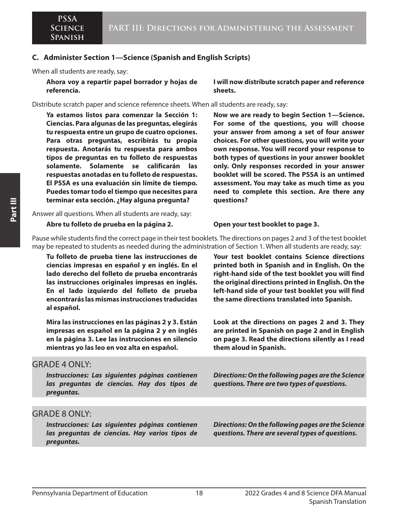#### <span id="page-21-0"></span>**C. Administer Section 1—Science (Spanish and English Scripts)**

When all students are ready, say:

**Ahora voy a repartir papel borrador y hojas de referencia.**

**I will now distribute scratch paper and reference sheets.**

Distribute scratch paper and science reference sheets. When all students are ready, say:

**Ya estamos listos para comenzar la Sección 1: Ciencias. Para algunas de las preguntas, elegirás tu respuesta entre un grupo de cuatro opciones. Para otras preguntas, escribirás tu propia respuesta. Anotarás tu respuesta para ambos tipos de preguntas en tu folleto de respuestas solamente. Solamente se calificarán las respuestas anotadas en tu folleto de respuestas. El PSSA es una evaluación sin límite de tiempo. Puedes tomar todo el tiempo que necesites para terminar esta sección. ¿Hay alguna pregunta?**

**Now we are ready to begin Section 1—Science. For some of the questions, you will choose your answer from among a set of four answer choices. For other questions, you will write your own response. You will record your response to both types of questions in your answer booklet only. Only responses recorded in your answer booklet will be scored. The PSSA is an untimed assessment. You may take as much time as you need to complete this section. Are there any questions?**

Answer all questions. When all students are ready, say:

#### **Abre tu folleto de prueba en la página 2. Open your test booklet to page 3.**

Pause while students find the correct page in their test booklets. The directions on pages 2 and 3 of the test booklet may be repeated to students as needed during the administration of Section 1. When all students are ready, say:

**Tu folleto de prueba tiene las instrucciones de ciencias impresas en español y en inglés. En el lado derecho del folleto de prueba encontrarás las instrucciones originales impresas en inglés. En el lado izquierdo del folleto de prueba encontrarás las mismas instrucciones traducidas al español.**

**Mira las instrucciones en las páginas 2 y 3. Están impresas en español en la página 2 y en inglés en la página 3. Lee las instrucciones en silencio mientras yo las leo en voz alta en español.**

#### GRADE 4 ONLY:

*Instrucciones: Las siguientes páginas contienen las preguntas de ciencias. Hay dos tipos de preguntas.*

### GRADE 8 ONLY:

*Instrucciones: Las siguientes páginas contienen las preguntas de ciencias. Hay varios tipos de preguntas.*

**Your test booklet contains Science directions printed both in Spanish and in English. On the right-hand side of the test booklet you will find the original directions printed in English. On the left-hand side of your test booklet you will find the same directions translated into Spanish.** 

**Look at the directions on pages 2 and 3. They are printed in Spanish on page 2 and in English on page 3. Read the directions silently as I read them aloud in Spanish.**

*Directions: On the following pages are the Science questions. There are two types of questions.*

*Directions: On the following pages are the Science questions. There are several types of questions.*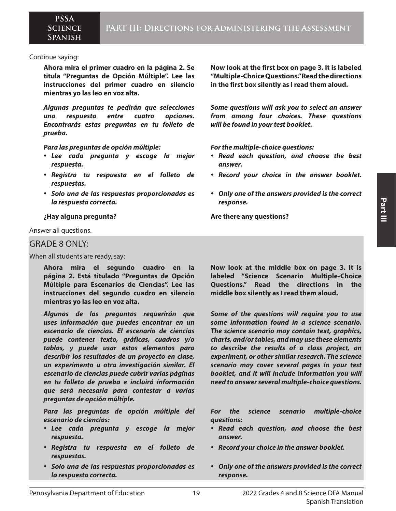#### Continue saying:

**Ahora mira el primer cuadro en la página 2. Se titula "Preguntas de Opción Múltiple". Lee las instrucciones del primer cuadro en silencio mientras yo las leo en voz alta.**

*Algunas preguntas te pedirán que selecciones una respuesta entre cuatro opciones. Encontrarás estas preguntas en tu folleto de prueba.*

#### *Para las preguntas de opción múltiple:*

- y *Lee cada pregunta y escoge la mejor respuesta.*
- y *Registra tu respuesta en el folleto de respuestas.*
- y *Solo una de las respuestas proporcionadas es la respuesta correcta.*

#### **¿Hay alguna pregunta?**

Answer all questions.

#### GRADE 8 ONLY:

When all students are ready, say:

**Ahora mira el segundo cuadro en la página 2. Está titulado "Preguntas de Opción Múltiple para Escenarios de Ciencias". Lee las instrucciones del segundo cuadro en silencio mientras yo las leo en voz alta.**

*Algunas de las preguntas requerirán que uses información que puedes encontrar en un escenario de ciencias. El escenario de ciencias puede contener texto, gráficas, cuadros y/o tablas, y puede usar estos elementos para describir los resultados de un proyecto en clase, un experimento u otra investigación similar. El escenario de ciencias puede cubrir varias páginas en tu folleto de prueba e incluirá información que será necesaria para contestar a varias preguntas de opción múltiple.*

*Para las preguntas de opción múltiple del escenario de ciencias:*

- y *Lee cada pregunta y escoge la mejor respuesta.*
- y *Registra tu respuesta en el folleto de respuestas.*
- y *Solo una de las respuestas proporcionadas es la respuesta correcta.*

**Now look at the first box on page 3. It is labeled "Multiple-Choice Questions." Read the directions in the first box silently as I read them aloud.** 

*Some questions will ask you to select an answer from among four choices. These questions will be found in your test booklet.*

*For the multiple-choice questions:*

- y *Read each question, and choose the best answer.*
- y *Record your choice in the answer booklet.*
- y *Only one of the answers provided is the correct response.*

**Are there any questions?**

**Now look at the middle box on page 3. It is labeled "Science Scenario Multiple-Choice Questions." Read the directions in the middle box silently as I read them aloud.** 

*Some of the questions will require you to use some information found in a science scenario. The science scenario may contain text, graphics, charts, and/or tables, and may use these elements to describe the results of a class project, an experiment, or other similar research. The science scenario may cover several pages in your test booklet, and it will include information you will need to answer several multiple-choice questions.*

*For the science scenario multiple-choice questions:*

- y *Read each question, and choose the best answer.*
- y *Record your choice in the answer booklet.*
- **Only one of the answers provided is the correct** *response.*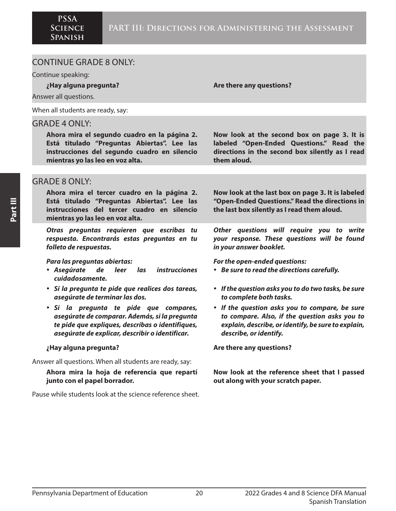#### CONTINUE GRADE 8 ONLY:

Continue speaking:

**¿Hay alguna pregunta? Are there any questions?**

Answer all questions.

When all students are ready, say:

#### GRADE 4 ONLY:

**Ahora mira el segundo cuadro en la página 2. Está titulado "Preguntas Abiertas". Lee las instrucciones del segundo cuadro en silencio mientras yo las leo en voz alta.**

GRADE 8 ONLY:

**Ahora mira el tercer cuadro en la página 2. Está titulado "Preguntas Abiertas". Lee las instrucciones del tercer cuadro en silencio mientras yo las leo en voz alta.**

*Otras preguntas requieren que escribas tu respuesta. Encontrarás estas preguntas en tu folleto de respuestas.*

*Para las preguntas abiertas:*

- y *Asegúrate de leer las instrucciones cuidadosamente.*
- y *Si la pregunta te pide que realices dos tareas, asegúrate de terminar las dos.*
- y *Si la pregunta te pide que compares, asegúrate de comparar. Además, si la pregunta te pide que expliques, describas o identifiques, asegúrate de explicar, describir o identificar.*

#### **¿Hay alguna pregunta?**

Answer all questions. When all students are ready, say:

#### **Ahora mira la hoja de referencia que repartí junto con el papel borrador.**

Pause while students look at the science reference sheet.

**labeled "Open-Ended Questions." Read the directions in the second box silently as I read them aloud.**

**Now look at the second box on page 3. It is** 

**Now look at the last box on page 3. It is labeled "Open-Ended Questions." Read the directions in the last box silently as I read them aloud.**

*Other questions will require you to write your response. These questions will be found in your answer booklet.*

*For the open-ended questions:*

- y *Be sure to read the directions carefully.*
- y *If the question asks you to do two tasks, be sure to complete both tasks.*
- If the question asks you to compare, be sure *to compare. Also, if the question asks you to explain, describe, or identify, be sure to explain, describe, or identify.*

**Are there any questions?**

**Now look at the reference sheet that I passed out along with your scratch paper.**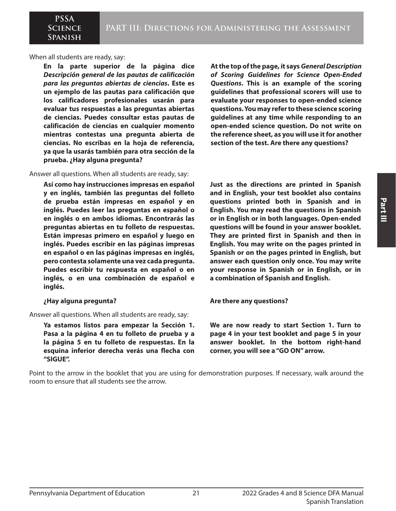When all students are ready, say:

**En la parte superior de la página dice**  *Descripción general de las pautas de calificación para las preguntas abiertas de ciencias***. Este es un ejemplo de las pautas para calificación que los calificadores profesionales usarán para evaluar tus respuestas a las preguntas abiertas de ciencias. Puedes consultar estas pautas de calificación de ciencias en cualquier momento mientras contestas una pregunta abierta de ciencias. No escribas en la hoja de referencia, ya que la usarás también para otra sección de la prueba. ¿Hay alguna pregunta?**

Answer all questions. When all students are ready, say:

**Así como hay instrucciones impresas en español y en inglés, también las preguntas del folleto de prueba están impresas en español y en inglés. Puedes leer las preguntas en español o en inglés o en ambos idiomas. Encontrarás las preguntas abiertas en tu folleto de respuestas. Están impresas primero en español y luego en inglés. Puedes escribir en las páginas impresas en español o en las páginas impresas en inglés, pero contesta solamente una vez cada pregunta. Puedes escribir tu respuesta en español o en inglés, o en una combinación de español e inglés.**

#### **¿Hay alguna pregunta?**

Answer all questions. When all students are ready, say:

**Ya estamos listos para empezar la Sección 1. Pasa a la página 4 en tu folleto de prueba y a la página 5 en tu folleto de respuestas. En la esquina inferior derecha verás una flecha con "SIGUE".**

**At the top of the page, it says** *General Description of Scoring Guidelines for Science Open-Ended Questions***. This is an example of the scoring guidelines that professional scorers will use to evaluate your responses to open-ended science questions. You may refer to these science scoring guidelines at any time while responding to an open-ended science question. Do not write on the reference sheet, as you will use it for another section of the test. Are there any questions?**

**Just as the directions are printed in Spanish and in English, your test booklet also contains questions printed both in Spanish and in English. You may read the questions in Spanish or in English or in both languages. Open-ended questions will be found in your answer booklet. They are printed first in Spanish and then in English. You may write on the pages printed in Spanish or on the pages printed in English, but answer each question only once. You may write your response in Spanish or in English, or in a combination of Spanish and English.** 

**Are there any questions?**

**We are now ready to start Section 1. Turn to page 4 in your test booklet and page 5 in your answer booklet. In the bottom right-hand corner, you will see a "GO ON" arrow.**

Point to the arrow in the booklet that you are using for demonstration purposes. If necessary, walk around the room to ensure that all students see the arrow.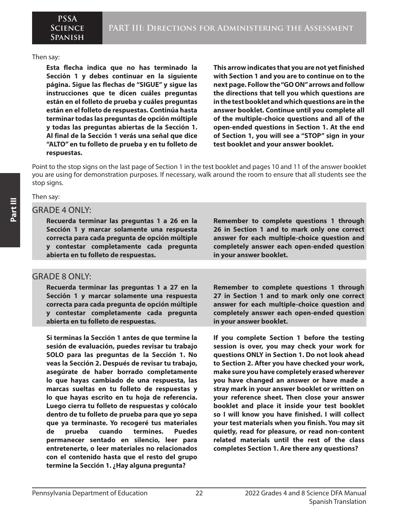#### **PSSA Science Spanish**

#### Then say:

**Esta flecha indica que no has terminado la Sección 1 y debes continuar en la siguiente página. Sigue las flechas de "SIGUE" y sigue las instrucciones que te dicen cuáles preguntas están en el folleto de prueba y cuáles preguntas están en el folleto de respuestas. Continúa hasta terminar todas las preguntas de opción múltiple y todas las preguntas abiertas de la Sección 1. Al final de la Sección 1 verás una señal que dice "ALTO" en tu folleto de prueba y en tu folleto de respuestas.**

**This arrow indicates that you are not yet finished with Section 1 and you are to continue on to the next page. Follow the "GO ON" arrows and follow the directions that tell you which questions are in the test booklet and which questions are in the answer booklet. Continue until you complete all of the multiple-choice questions and all of the open-ended questions in Section 1. At the end of Section 1, you will see a "STOP" sign in your test booklet and your answer booklet.**

Point to the stop signs on the last page of Section 1 in the test booklet and pages 10 and 11 of the answer booklet you are using for demonstration purposes. If necessary, walk around the room to ensure that all students see the stop signs.

#### Then say:

#### GRADE 4 ONLY:

**Recuerda terminar las preguntas 1 a 26 en la Sección 1 y marcar solamente una respuesta correcta para cada pregunta de opción múltiple y contestar completamente cada pregunta abierta en tu folleto de respuestas.**

GRADE 8 ONLY:

**Recuerda terminar las preguntas 1 a 27 en la Sección 1 y marcar solamente una respuesta correcta para cada pregunta de opción múltiple y contestar completamente cada pregunta abierta en tu folleto de respuestas.**

**Si terminas la Sección 1 antes de que termine la sesión de evaluación, puedes revisar tu trabajo SOLO para las preguntas de la Sección 1. No veas la Sección 2. Después de revisar tu trabajo, asegúrate de haber borrado completamente lo que hayas cambiado de una respuesta, las marcas sueltas en tu folleto de respuestas y lo que hayas escrito en tu hoja de referencia. Luego cierra tu folleto de respuestas y colócalo dentro de tu folleto de prueba para que yo sepa que ya terminaste. Yo recogeré tus materiales de prueba cuando termines. Puedes permanecer sentado en silencio, leer para entretenerte, o leer materiales no relacionados con el contenido hasta que el resto del grupo termine la Sección 1. ¿Hay alguna pregunta?**

**Remember to complete questions 1 through 26 in Section 1 and to mark only one correct answer for each multiple-choice question and completely answer each open-ended question in your answer booklet.**

**Remember to complete questions 1 through 27 in Section 1 and to mark only one correct answer for each multiple-choice question and completely answer each open-ended question in your answer booklet.**

**If you complete Section 1 before the testing session is over, you may check your work for questions ONLY in Section 1. Do not look ahead to Section 2. After you have checked your work, make sure you have completely erased wherever you have changed an answer or have made a stray mark in your answer booklet or written on your reference sheet. Then close your answer booklet and place it inside your test booklet so I will know you have finished. I will collect your test materials when you finish. You may sit quietly, read for pleasure, or read non-content related materials until the rest of the class completes Section 1. Are there any questions?**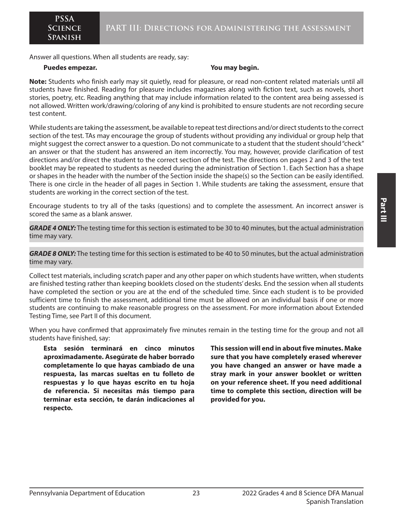Answer all questions. When all students are ready, say:

#### **Puedes empezar. You may begin.**

**Note:** Students who finish early may sit quietly, read for pleasure, or read non-content related materials until all students have finished. Reading for pleasure includes magazines along with fiction text, such as novels, short stories, poetry, etc. Reading anything that may include information related to the content area being assessed is not allowed. Written work/drawing/coloring of any kind is prohibited to ensure students are not recording secure test content.

While students are taking the assessment, be available to repeat test directions and/or direct students to the correct section of the test. TAs may encourage the group of students without providing any individual or group help that might suggest the correct answer to a question. Do not communicate to a student that the student should "check" an answer or that the student has answered an item incorrectly. You may, however, provide clarification of test directions and/or direct the student to the correct section of the test. The directions on pages 2 and 3 of the test booklet may be repeated to students as needed during the administration of Section 1. Each Section has a shape or shapes in the header with the number of the Section inside the shape(s) so the Section can be easily identified. There is one circle in the header of all pages in Section 1. While students are taking the assessment, ensure that students are working in the correct section of the test.

Encourage students to try all of the tasks (questions) and to complete the assessment. An incorrect answer is scored the same as a blank answer.

*GRADE 4 ONLY:* The testing time for this section is estimated to be 30 to 40 minutes, but the actual administration time may vary.

*GRADE 8 ONLY:* The testing time for this section is estimated to be 40 to 50 minutes, but the actual administration time may vary.

Collect test materials, including scratch paper and any other paper on which students have written, when students are finished testing rather than keeping booklets closed on the students' desks. End the session when all students have completed the section or you are at the end of the scheduled time. Since each student is to be provided sufficient time to finish the assessment, additional time must be allowed on an individual basis if one or more students are continuing to make reasonable progress on the assessment. For more information about Extended Testing Time, see Part II of this document.

When you have confirmed that approximately five minutes remain in the testing time for the group and not all students have finished, say:

**Esta sesión terminará en cinco minutos aproximadamente. Asegúrate de haber borrado completamente lo que hayas cambiado de una respuesta, las marcas sueltas en tu folleto de respuestas y lo que hayas escrito en tu hoja de referencia. Si necesitas más tiempo para terminar esta sección, te darán indicaciones al respecto.**

**This session will end in about five minutes. Make sure that you have completely erased wherever you have changed an answer or have made a stray mark in your answer booklet or written on your reference sheet. If you need additional time to complete this section, direction will be provided for you.**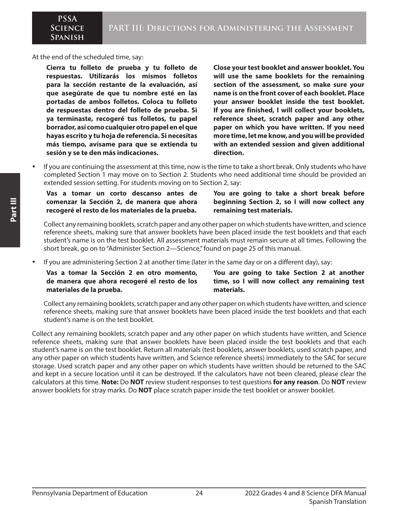#### **PSSA Science Spanish**

At the end of the scheduled time, say:

**Cierra tu folleto de prueba y tu folleto de respuestas. Utilizarás los mismos folletos para la sección restante de la evaluación, así que asegúrate de que tu nombre esté en las portadas de ambos folletos. Coloca tu folleto de respuestas dentro del folleto de prueba. Si ya terminaste, recogeré tus folletos, tu papel borrador, así como cualquier otro papel en el que hayas escrito y tu hoja de referencia. Si necesitas más tiempo, avísame para que se extienda tu sesión y se te den más indicaciones.**

**Close your test booklet and answer booklet. You will use the same booklets for the remaining section of the assessment, so make sure your name is on the front cover of each booklet. Place your answer booklet inside the test booklet. If you are finished, I will collect your booklets, reference sheet, scratch paper and any other paper on which you have written. If you need more time, let me know, and you will be provided with an extended session and given additional direction.**

If you are continuing the assessment at this time, now is the time to take a short break. Only students who have completed Section 1 may move on to Section 2. Students who need additional time should be provided an extended session setting. For students moving on to Section 2, say:

**Vas a tomar un corto descanso antes de comenzar la Sección 2, de manera que ahora recogeré el resto de los materiales de la prueba.**

**You are going to take a short break before beginning Section 2, so I will now collect any remaining test materials.**

Collect any remaining booklets, scratch paper and any other paper on which students have written, and science reference sheets, making sure that answer booklets have been placed inside the test booklets and that each student's name is on the test booklet. All assessment materials must remain secure at all times. Following the short break, go on to "Administer Section 2—Science," found on page [25](#page-28-1) of this manual.

If you are administering Section 2 at another time (later in the same day or on a different day), say:

**Vas a tomar la Sección 2 en otro momento, de manera que ahora recogeré el resto de los materiales de la prueba.**

**You are going to take Section 2 at another time, so I will now collect any remaining test materials.**

Collect any remaining booklets, scratch paper and any other paper on which students have written, and science reference sheets, making sure that answer booklets have been placed inside the test booklets and that each student's name is on the test booklet.

Collect any remaining booklets, scratch paper and any other paper on which students have written, and Science reference sheets, making sure that answer booklets have been placed inside the test booklets and that each student's name is on the test booklet. Return all materials (test booklets, answer booklets, used scratch paper, and any other paper on which students have written, and Science reference sheets) immediately to the SAC for secure storage. Used scratch paper and any other paper on which students have written should be returned to the SAC and kept in a secure location until it can be destroyed. If the calculators have not been cleared, please clear the calculators at this time. **Note:** Do **NOT** review student responses to test questions **for any reason**. Do **NOT** review answer booklets for stray marks. Do **NOT** place scratch paper inside the test booklet or answer booklet.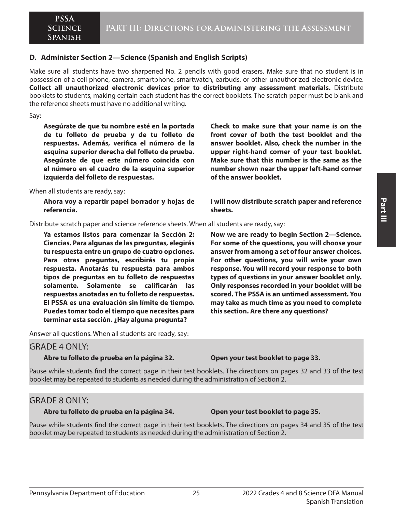#### <span id="page-28-1"></span><span id="page-28-0"></span>**D. Administer Section 2—Science (Spanish and English Scripts)**

Make sure all students have two sharpened No. 2 pencils with good erasers. Make sure that no student is in possession of a cell phone, camera, smartphone, smartwatch, earbuds, or other unauthorized electronic device. **Collect all unauthorized electronic devices prior to distributing any assessment materials.** Distribute booklets to students, making certain each student has the correct booklets. The scratch paper must be blank and the reference sheets must have no additional writing.

Say:

**Asegúrate de que tu nombre esté en la portada de tu folleto de prueba y de tu folleto de respuestas. Además, verifica el número de la esquina superior derecha del folleto de prueba. Asegúrate de que este número coincida con el número en el cuadro de la esquina superior izquierda del folleto de respuestas.**

**Check to make sure that your name is on the front cover of both the test booklet and the answer booklet. Also, check the number in the upper right-hand corner of your test booklet. Make sure that this number is the same as the number shown near the upper left-hand corner of the answer booklet.**

When all students are ready, say:

**Ahora voy a repartir papel borrador y hojas de referencia.**

**I will now distribute scratch paper and reference sheets.**

Distribute scratch paper and science reference sheets. When all students are ready, say:

**Ya estamos listos para comenzar la Sección 2: Ciencias. Para algunas de las preguntas, elegirás tu respuesta entre un grupo de cuatro opciones. Para otras preguntas, escribirás tu propia respuesta. Anotarás tu respuesta para ambos tipos de preguntas en tu folleto de respuestas solamente. Solamente se calificarán las respuestas anotadas en tu folleto de respuestas. El PSSA es una evaluación sin límite de tiempo. Puedes tomar todo el tiempo que necesites para terminar esta sección. ¿Hay alguna pregunta?**

**Now we are ready to begin Section 2—Science. For some of the questions, you will choose your answer from among a set of four answer choices. For other questions, you will write your own response. You will record your response to both types of questions in your answer booklet only. Only responses recorded in your booklet will be scored. The PSSA is an untimed assessment. You may take as much time as you need to complete this section. Are there any questions?**

Answer all questions. When all students are ready, say:

#### GRADE 4 ONLY:

#### **Abre tu folleto de prueba en la página 32. Open your test booklet to page 33.**

Pause while students find the correct page in their test booklets. The directions on pages 32 and 33 of the test booklet may be repeated to students as needed during the administration of Section 2.

#### GRADE 8 ONLY:

#### **Abre tu folleto de prueba en la página 34. Open your test booklet to page 35.**

Pause while students find the correct page in their test booklets. The directions on pages 34 and 35 of the test booklet may be repeated to students as needed during the administration of Section 2.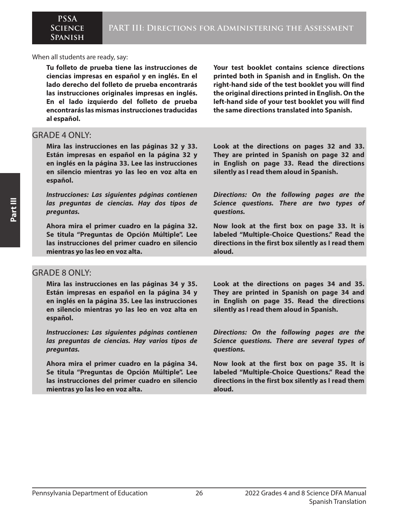#### When all students are ready, say:

**Tu folleto de prueba tiene las instrucciones de ciencias impresas en español y en inglés. En el lado derecho del folleto de prueba encontrarás las instrucciones originales impresas en inglés. En el lado izquierdo del folleto de prueba encontrarás las mismas instrucciones traducidas al español.**

**Your test booklet contains science directions printed both in Spanish and in English. On the right-hand side of the test booklet you will find the original directions printed in English. On the left-hand side of your test booklet you will find the same directions translated into Spanish.**

#### GRADE 4 ONLY:

**Mira las instrucciones en las páginas 32 y 33. Están impresas en español en la página 32 y en inglés en la página 33. Lee las instrucciones en silencio mientras yo las leo en voz alta en español.**

*Instrucciones: Las siguientes páginas contienen las preguntas de ciencias. Hay dos tipos de preguntas.*

**Ahora mira el primer cuadro en la página 32. Se titula "Preguntas de Opción Múltiple". Lee las instrucciones del primer cuadro en silencio mientras yo las leo en voz alta.**

**Look at the directions on pages 32 and 33. They are printed in Spanish on page 32 and in English on page 33. Read the directions silently as I read them aloud in Spanish.** 

*Directions: On the following pages are the Science questions. There are two types of questions.*

**Now look at the first box on page 33. It is labeled "Multiple-Choice Questions." Read the directions in the first box silently as I read them aloud.**

#### GRADE 8 ONLY:

**Mira las instrucciones en las páginas 34 y 35. Están impresas en español en la página 34 y en inglés en la página 35. Lee las instrucciones en silencio mientras yo las leo en voz alta en español.**

*Instrucciones: Las siguientes páginas contienen las preguntas de ciencias. Hay varios tipos de preguntas.*

**Ahora mira el primer cuadro en la página 34. Se titula "Preguntas de Opción Múltiple". Lee las instrucciones del primer cuadro en silencio mientras yo las leo en voz alta.**

**Look at the directions on pages 34 and 35. They are printed in Spanish on page 34 and in English on page 35. Read the directions silently as I read them aloud in Spanish.** 

*Directions: On the following pages are the Science questions. There are several types of questions.*

**Now look at the first box on page 35. It is labeled "Multiple-Choice Questions." Read the directions in the first box silently as I read them aloud.**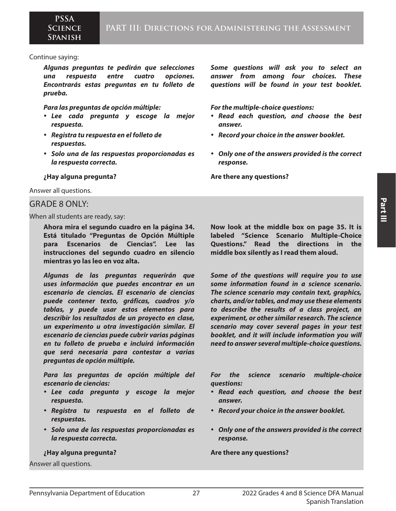#### Continue saying:

*Algunas preguntas te pedirán que selecciones una respuesta entre cuatro opciones. Encontrarás estas preguntas en tu folleto de prueba.*

*Para las preguntas de opción múltiple:*

- y *Lee cada pregunta y escoge la mejor respuesta.*
- y *Registra tu respuesta en el folleto de respuestas.*
- y *Solo una de las respuestas proporcionadas es la respuesta correcta.*

**¿Hay alguna pregunta?**

Answer all questions.

#### GRADE 8 ONLY:

When all students are ready, say:

**Ahora mira el segundo cuadro en la página 34. Está titulado "Preguntas de Opción Múltiple para Escenarios de Ciencias". Lee las instrucciones del segundo cuadro en silencio mientras yo las leo en voz alta.**

*Algunas de las preguntas requerirán que uses información que puedes encontrar en un escenario de ciencias. El escenario de ciencias puede contener texto, gráficas, cuadros y/o tablas, y puede usar estos elementos para describir los resultados de un proyecto en clase, un experimento u otra investigación similar. El escenario de ciencias puede cubrir varias páginas en tu folleto de prueba e incluirá información que será necesaria para contestar a varias preguntas de opción múltiple.*

*Para las preguntas de opción múltiple del escenario de ciencias:*

- y *Lee cada pregunta y escoge la mejor respuesta.*
- y *Registra tu respuesta en el folleto de respuestas.*
- y *Solo una de las respuestas proporcionadas es la respuesta correcta.*

#### **¿Hay alguna pregunta?**

Answer all questions.

*Some questions will ask you to select an answer from among four choices. These questions will be found in your test booklet.*

*For the multiple-choice questions:*

- y *Read each question, and choose the best answer.*
- y *Record your choice in the answer booklet.*
- y *Only one of the answers provided is the correct response.*

**Are there any questions?**

**Now look at the middle box on page 35. It is labeled "Science Scenario Multiple-Choice Questions." Read the directions in the middle box silently as I read them aloud.** 

*Some of the questions will require you to use some information found in a science scenario. The science scenario may contain text, graphics, charts, and/or tables, and may use these elements to describe the results of a class project, an experiment, or other similar research. The science scenario may cover several pages in your test booklet, and it will include information you will need to answer several multiple-choice questions.*

*For the science scenario multiple-choice questions:*

- y *Read each question, and choose the best answer.*
- y *Record your choice in the answer booklet.*
- y *Only one of the answers provided is the correct response.*

**Are there any questions?**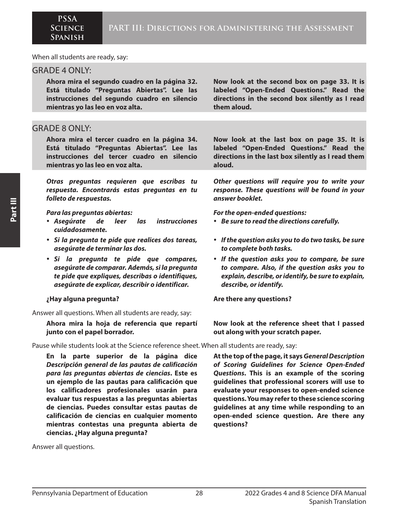When all students are ready, say:

#### GRADE 4 ONLY:

**Ahora mira el segundo cuadro en la página 32. Está titulado "Preguntas Abiertas". Lee las instrucciones del segundo cuadro en silencio mientras yo las leo en voz alta.**

#### GRADE 8 ONLY:

**Ahora mira el tercer cuadro en la página 34. Está titulado "Preguntas Abiertas". Lee las instrucciones del tercer cuadro en silencio mientras yo las leo en voz alta.**

*Otras preguntas requieren que escribas tu respuesta. Encontrarás estas preguntas en tu folleto de respuestas.*

*Para las preguntas abiertas:*

- y *Asegúrate de leer las instrucciones cuidadosamente.*
- y *Si la pregunta te pide que realices dos tareas, asegúrate de terminar las dos.*
- y *Si la pregunta te pide que compares, asegúrate de comparar. Además, si la pregunta te pide que expliques, describas o identifiques, asegúrate de explicar, describir o identificar.*

#### **¿Hay alguna pregunta?**

Answer all questions. When all students are ready, say:

**Ahora mira la hoja de referencia que repartí junto con el papel borrador.**

Pause while students look at the Science reference sheet. When all students are ready, say:

**En la parte superior de la página dice**  *Descripción general de las pautas de calificación para las preguntas abiertas de ciencias***. Este es un ejemplo de las pautas para calificación que los calificadores profesionales usarán para evaluar tus respuestas a las preguntas abiertas de ciencias. Puedes consultar estas pautas de calificación de ciencias en cualquier momento mientras contestas una pregunta abierta de ciencias. ¿Hay alguna pregunta?**

Answer all questions.

**Now look at the second box on page 33. It is labeled "Open-Ended Questions." Read the directions in the second box silently as I read them aloud.**

**Now look at the last box on page 35. It is labeled "Open-Ended Questions." Read the directions in the last box silently as I read them aloud.**

*Other questions will require you to write your response. These questions will be found in your answer booklet.*

*For the open-ended questions:*

- y *Be sure to read the directions carefully.*
- y *If the question asks you to do two tasks, be sure to complete both tasks.*
- **•** If the question asks you to compare, be sure *to compare. Also, if the question asks you to explain, describe, or identify, be sure to explain, describe, or identify.*

**Are there any questions?**

**Now look at the reference sheet that I passed out along with your scratch paper.**

**At the top of the page, it says** *General Description of Scoring Guidelines for Science Open-Ended Questions***. This is an example of the scoring guidelines that professional scorers will use to evaluate your responses to open-ended science questions. You may refer to these science scoring guidelines at any time while responding to an open-ended science question. Are there any questions?**

**Part III**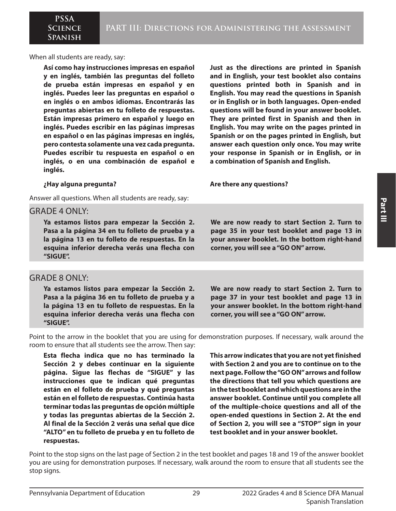When all students are ready, say:

**Así como hay instrucciones impresas en español y en inglés, también las preguntas del folleto de prueba están impresas en español y en inglés. Puedes leer las preguntas en español o en inglés o en ambos idiomas. Encontrarás las preguntas abiertas en tu folleto de respuestas. Están impresas primero en español y luego en inglés. Puedes escribir en las páginas impresas en español o en las páginas impresas en inglés, pero contesta solamente una vez cada pregunta. Puedes escribir tu respuesta en español o en inglés, o en una combinación de español e inglés.**

**Just as the directions are printed in Spanish and in English, your test booklet also contains questions printed both in Spanish and in English. You may read the questions in Spanish or in English or in both languages. Open-ended questions will be found in your answer booklet. They are printed first in Spanish and then in English. You may write on the pages printed in Spanish or on the pages printed in English, but answer each question only once. You may write your response in Spanish or in English, or in a combination of Spanish and English.** 

#### **¿Hay alguna pregunta?**

**Are there any questions?**

Answer all questions. When all students are ready, say:

#### GRADE 4 ONLY:

**Ya estamos listos para empezar la Sección 2. Pasa a la página 34 en tu folleto de prueba y a la página 13 en tu folleto de respuestas. En la esquina inferior derecha verás una flecha con "SIGUE".**

**We are now ready to start Section 2. Turn to page 35 in your test booklet and page 13 in your answer booklet. In the bottom right-hand corner, you will see a "GO ON" arrow.**

### GRADE 8 ONLY:

**Ya estamos listos para empezar la Sección 2. Pasa a la página 36 en tu folleto de prueba y a la página 13 en tu folleto de respuestas. En la esquina inferior derecha verás una flecha con "SIGUE".**

**We are now ready to start Section 2. Turn to page 37 in your test booklet and page 13 in your answer booklet. In the bottom right-hand corner, you will see a "GO ON" arrow.**

Point to the arrow in the booklet that you are using for demonstration purposes. If necessary, walk around the room to ensure that all students see the arrow. Then say:

**Esta flecha indica que no has terminado la Sección 2 y debes continuar en la siguiente página. Sigue las flechas de "SIGUE" y las instrucciones que te indican qué preguntas están en el folleto de prueba y qué preguntas están en el folleto de respuestas. Continúa hasta terminar todas las preguntas de opción múltiple y todas las preguntas abiertas de la Sección 2. Al final de la Sección 2 verás una señal que dice "ALTO" en tu folleto de prueba y en tu folleto de respuestas.**

**This arrow indicates that you are not yet finished with Section 2 and you are to continue on to the next page. Follow the "GO ON" arrows and follow the directions that tell you which questions are in the test booklet and which questions are in the answer booklet. Continue until you complete all of the multiple-choice questions and all of the open-ended questions in Section 2. At the end of Section 2, you will see a "STOP" sign in your test booklet and in your answer booklet.**

Point to the stop signs on the last page of Section 2 in the test booklet and pages 18 and 19 of the answer booklet you are using for demonstration purposes. If necessary, walk around the room to ensure that all students see the stop signs.

**Part III**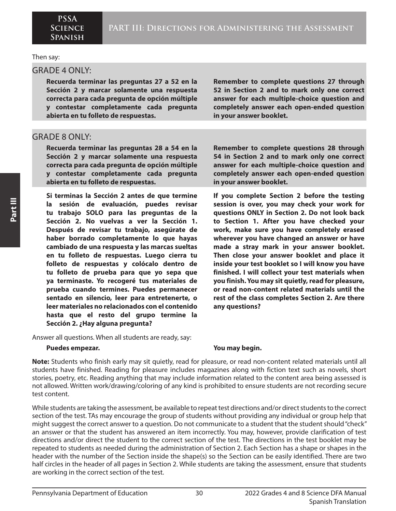Then say:

#### GRADE 4 ONLY:

**Recuerda terminar las preguntas 27 a 52 en la Sección 2 y marcar solamente una respuesta correcta para cada pregunta de opción múltiple y contestar completamente cada pregunta abierta en tu folleto de respuestas.**

#### GRADE 8 ONLY:

**Recuerda terminar las preguntas 28 a 54 en la Sección 2 y marcar solamente una respuesta correcta para cada pregunta de opción múltiple y contestar completamente cada pregunta abierta en tu folleto de respuestas.**

**Si terminas la Sección 2 antes de que termine la sesión de evaluación, puedes revisar tu trabajo SOLO para las preguntas de la Sección 2. No vuelvas a ver la Sección 1. Después de revisar tu trabajo, asegúrate de haber borrado completamente lo que hayas cambiado de una respuesta y las marcas sueltas en tu folleto de respuestas. Luego cierra tu folleto de respuestas y colócalo dentro de tu folleto de prueba para que yo sepa que ya terminaste. Yo recogeré tus materiales de prueba cuando termines. Puedes permanecer sentado en silencio, leer para entretenerte, o leer materiales no relacionados con el contenido hasta que el resto del grupo termine la Sección 2. ¿Hay alguna pregunta?**

**Remember to complete questions 27 through 52 in Section 2 and to mark only one correct answer for each multiple-choice question and completely answer each open-ended question in your answer booklet.**

**Remember to complete questions 28 through 54 in Section 2 and to mark only one correct answer for each multiple-choice question and completely answer each open-ended question in your answer booklet.**

**If you complete Section 2 before the testing session is over, you may check your work for questions ONLY in Section 2. Do not look back to Section 1. After you have checked your work, make sure you have completely erased wherever you have changed an answer or have made a stray mark in your answer booklet. Then close your answer booklet and place it inside your test booklet so I will know you have finished. I will collect your test materials when you finish. You may sit quietly, read for pleasure, or read non-content related materials until the rest of the class completes Section 2. Are there any questions?**

Answer all questions. When all students are ready, say:

#### **Puedes empezar. You may begin.**

**Note:** Students who finish early may sit quietly, read for pleasure, or read non-content related materials until all students have finished. Reading for pleasure includes magazines along with fiction text such as novels, short stories, poetry, etc. Reading anything that may include information related to the content area being assessed is not allowed. Written work/drawing/coloring of any kind is prohibited to ensure students are not recording secure test content.

While students are taking the assessment, be available to repeat test directions and/or direct students to the correct section of the test. TAs may encourage the group of students without providing any individual or group help that might suggest the correct answer to a question. Do not communicate to a student that the student should "check" an answer or that the student has answered an item incorrectly. You may, however, provide clarification of test directions and/or direct the student to the correct section of the test. The directions in the test booklet may be repeated to students as needed during the administration of Section 2. Each Section has a shape or shapes in the header with the number of the Section inside the shape(s) so the Section can be easily identified. There are two half circles in the header of all pages in Section 2. While students are taking the assessment, ensure that students are working in the correct section of the test.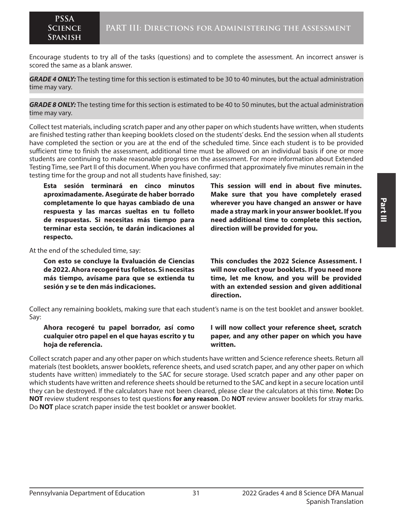#### **PSSA Science Spanish**

Encourage students to try all of the tasks (questions) and to complete the assessment. An incorrect answer is scored the same as a blank answer.

*GRADE 4 ONLY:* The testing time for this section is estimated to be 30 to 40 minutes, but the actual administration time may vary.

*GRADE 8 ONLY:* The testing time for this section is estimated to be 40 to 50 minutes, but the actual administration time may vary.

Collect test materials, including scratch paper and any other paper on which students have written, when students are finished testing rather than keeping booklets closed on the students' desks. End the session when all students have completed the section or you are at the end of the scheduled time. Since each student is to be provided sufficient time to finish the assessment, additional time must be allowed on an individual basis if one or more students are continuing to make reasonable progress on the assessment. For more information about Extended Testing Time, see Part II of this document. When you have confirmed that approximately five minutes remain in the testing time for the group and not all students have finished, say:

**Esta sesión terminará en cinco minutos aproximadamente. Asegúrate de haber borrado completamente lo que hayas cambiado de una respuesta y las marcas sueltas en tu folleto de respuestas. Si necesitas más tiempo para terminar esta sección, te darán indicaciones al respecto.**

At the end of the scheduled time, say:

**Con esto se concluye la Evaluación de Ciencias de 2022. Ahora recogeré tus folletos. Si necesitas más tiempo, avísame para que se extienda tu sesión y se te den más indicaciones.**

**This session will end in about five minutes. Make sure that you have completely erased wherever you have changed an answer or have made a stray mark in your answer booklet. If you need additional time to complete this section, direction will be provided for you.**

**This concludes the 2022 Science Assessment. I will now collect your booklets. If you need more time, let me know, and you will be provided with an extended session and given additional direction.**

Collect any remaining booklets, making sure that each student's name is on the test booklet and answer booklet. Say:

#### **Ahora recogeré tu papel borrador, así como cualquier otro papel en el que hayas escrito y tu hoja de referencia.**

**I will now collect your reference sheet, scratch paper, and any other paper on which you have written.**

Collect scratch paper and any other paper on which students have written and Science reference sheets. Return all materials (test booklets, answer booklets, reference sheets, and used scratch paper, and any other paper on which students have written) immediately to the SAC for secure storage. Used scratch paper and any other paper on which students have written and reference sheets should be returned to the SAC and kept in a secure location until they can be destroyed. If the calculators have not been cleared, please clear the calculators at this time. **Note:** Do **NOT** review student responses to test questions **for any reason**. Do **NOT** review answer booklets for stray marks. Do **NOT** place scratch paper inside the test booklet or answer booklet.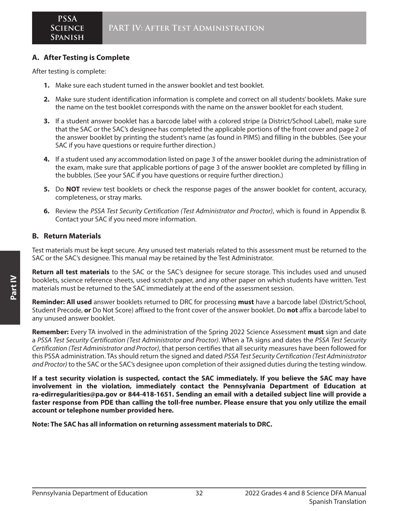#### <span id="page-35-0"></span>**A. After Testing is Complete**

After testing is complete:

- **1.** Make sure each student turned in the answer booklet and test booklet.
- **2.** Make sure student identification information is complete and correct on all students' booklets. Make sure the name on the test booklet corresponds with the name on the answer booklet for each student.
- **3.** If a student answer booklet has a barcode label with a colored stripe (a District/School Label), make sure that the SAC or the SAC's designee has completed the applicable portions of the front cover and page 2 of the answer booklet by printing the student's name (as found in PIMS) and filling in the bubbles. (See your SAC if you have questions or require further direction.)
- **4.** If a student used any accommodation listed on page 3 of the answer booklet during the administration of the exam, make sure that applicable portions of page 3 of the answer booklet are completed by filling in the bubbles. (See your SAC if you have questions or require further direction.)
- **5.** Do **NOT** review test booklets or check the response pages of the answer booklet for content, accuracy, completeness, or stray marks.
- **6.** Review the *PSSA Test Security Certification (Test Administrator and Proctor)*, which is found in Appendix B. Contact your SAC if you need more information.

#### **B. Return Materials**

Test materials must be kept secure. Any unused test materials related to this assessment must be returned to the SAC or the SAC's designee. This manual may be retained by the Test Administrator.

**Return all test materials** to the SAC or the SAC's designee for secure storage. This includes used and unused booklets, science reference sheets, used scratch paper, and any other paper on which students have written. Test materials must be returned to the SAC immediately at the end of the assessment session.

**Reminder: All used** answer booklets returned to DRC for processing **must** have a barcode label (District/School, Student Precode, **or** Do Not Score) affixed to the front cover of the answer booklet. Do **not** affix a barcode label to any unused answer booklet.

**Remember:** Every TA involved in the administration of the Spring 2022 Science Assessment **must** sign and date a *PSSA Test Security Certification (Test Administrator and Proctor)*. When a TA signs and dates the *PSSA Test Security Certification (Test Administrator and Proctor)*, that person certifies that all security measures have been followed for this PSSA administration. TAs should return the signed and dated *PSSA Test Security Certification (Test Administrator and Proctor)* to the SAC or the SAC's designee upon completion of their assigned duties during the testing window.

**If a test security violation is suspected, contact the SAC immediately. If you believe the SAC may have involvement in the violation, immediately contact the Pennsylvania Department of Education at [ra-edirregularities@pa.gov](mailto:ra-edirregularities%40pa.gov?subject=) or 844-418-1651. Sending an email with a detailed subject line will provide a faster response from PDE than calling the toll-free number. Please ensure that you only utilize the email account or telephone number provided here.**

**Note: The SAC has all information on returning assessment materials to DRC.**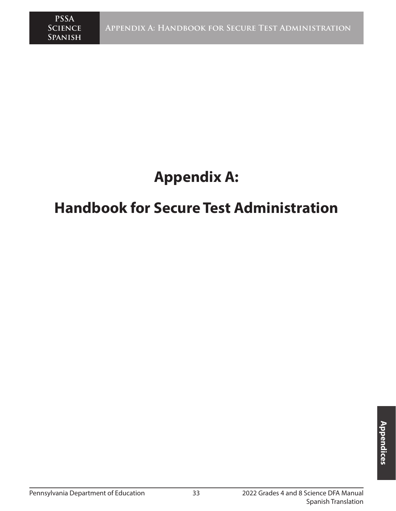## **Appendix A:**

### **Handbook for Secure Test Administration**

<span id="page-36-0"></span>**PSSA Science Spanish**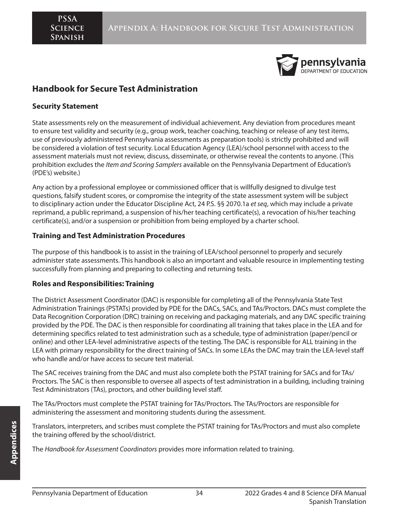

### **Handbook for Secure Test Administration**

#### **Security Statement**

State assessments rely on the measurement of individual achievement. Any deviation from procedures meant to ensure test validity and security (e.g., group work, teacher coaching, teaching or release of any test items, use of previously administered Pennsylvania assessments as preparation tools) is strictly prohibited and will be considered a violation of test security. Local Education Agency (LEA)/school personnel with access to the assessment materials must not review, discuss, disseminate, or otherwise reveal the contents to anyone. (This prohibition excludes the *Item and Scoring Samplers* available on the Pennsylvania Department of Education's (PDE's) website.)

Any action by a professional employee or commissioned officer that is willfully designed to divulge test questions, falsify student scores, or compromise the integrity of the state assessment system will be subject to disciplinary action under the Educator Discipline Act, 24 P.S. §§ 2070.1a *et seq*, which may include a private reprimand, a public reprimand, a suspension of his/her teaching certificate(s), a revocation of his/her teaching certificate(s), and/or a suspension or prohibition from being employed by a charter school.

#### **Training and Test Administration Procedures**

The purpose of this handbook is to assist in the training of LEA/school personnel to properly and securely administer state assessments. This handbook is also an important and valuable resource in implementing testing successfully from planning and preparing to collecting and returning tests.

#### **Roles and Responsibilities: Training**

The District Assessment Coordinator (DAC) is responsible for completing all of the Pennsylvania State Test Administration Trainings (PSTATs) provided by PDE for the DACs, SACs, and TAs/Proctors. DACs must complete the Data Recognition Corporation (DRC) training on receiving and packaging materials, and any DAC specific training provided by the PDE. The DAC is then responsible for coordinating all training that takes place in the LEA and for determining specifics related to test administration such as a schedule, type of administration (paper/pencil or online) and other LEA-level administrative aspects of the testing. The DAC is responsible for ALL training in the LEA with primary responsibility for the direct training of SACs. In some LEAs the DAC may train the LEA-level staff who handle and/or have access to secure test material.

The SAC receives training from the DAC and must also complete both the PSTAT training for SACs and for TAs/ Proctors. The SAC is then responsible to oversee all aspects of test administration in a building, including training Test Administrators (TAs), proctors, and other building level staff.

The TAs/Proctors must complete the PSTAT training for TAs/Proctors. The TAs/Proctors are responsible for administering the assessment and monitoring students during the assessment.

Translators, interpreters, and scribes must complete the PSTAT training for TAs/Proctors and must also complete the training offered by the school/district.

The *Handbook for Assessment Coordinators* provides more information related to training.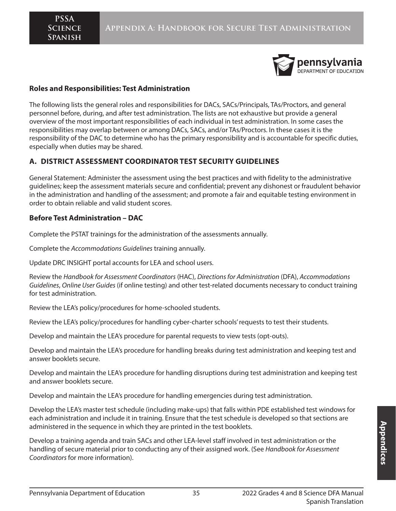

#### **Roles and Responsibilities: Test Administration**

The following lists the general roles and responsibilities for DACs, SACs/Principals, TAs/Proctors, and general personnel before, during, and after test administration. The lists are not exhaustive but provide a general overview of the most important responsibilities of each individual in test administration. In some cases the responsibilities may overlap between or among DACs, SACs, and/or TAs/Proctors. In these cases it is the responsibility of the DAC to determine who has the primary responsibility and is accountable for specific duties, especially when duties may be shared.

#### **A. DISTRICT ASSESSMENT COORDINATOR TEST SECURITY GUIDELINES**

General Statement: Administer the assessment using the best practices and with fidelity to the administrative guidelines; keep the assessment materials secure and confidential; prevent any dishonest or fraudulent behavior in the administration and handling of the assessment; and promote a fair and equitable testing environment in order to obtain reliable and valid student scores.

#### **Before Test Administration – DAC**

Complete the PSTAT trainings for the administration of the assessments annually.

Complete the *Accommodations Guidelines* training annually.

Update DRC INSIGHT portal accounts for LEA and school users.

Review the *Handbook for Assessment Coordinators* (HAC), *Directions for Administration* (DFA), *Accommodations Guidelines*, *Online User Guides* (if online testing) and other test-related documents necessary to conduct training for test administration.

Review the LEA's policy/procedures for home-schooled students.

Review the LEA's policy/procedures for handling cyber-charter schools' requests to test their students.

Develop and maintain the LEA's procedure for parental requests to view tests (opt-outs).

Develop and maintain the LEA's procedure for handling breaks during test administration and keeping test and answer booklets secure.

Develop and maintain the LEA's procedure for handling disruptions during test administration and keeping test and answer booklets secure.

Develop and maintain the LEA's procedure for handling emergencies during test administration.

Develop the LEA's master test schedule (including make-ups) that falls within PDE established test windows for each administration and include it in training. Ensure that the test schedule is developed so that sections are administered in the sequence in which they are printed in the test booklets.

Develop a training agenda and train SACs and other LEA-level staff involved in test administration or the handling of secure material prior to conducting any of their assigned work. (See *Handbook for Assessment Coordinators* for more information).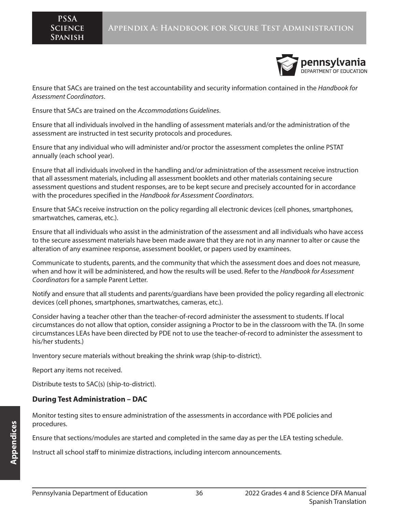

Ensure that SACs are trained on the test accountability and security information contained in the *Handbook for Assessment Coordinators*.

Ensure that SACs are trained on the *Accommodations Guidelines*.

Ensure that all individuals involved in the handling of assessment materials and/or the administration of the assessment are instructed in test security protocols and procedures.

Ensure that any individual who will administer and/or proctor the assessment completes the online PSTAT annually (each school year).

Ensure that all individuals involved in the handling and/or administration of the assessment receive instruction that all assessment materials, including all assessment booklets and other materials containing secure assessment questions and student responses, are to be kept secure and precisely accounted for in accordance with the procedures specified in the *Handbook for Assessment Coordinators*.

Ensure that SACs receive instruction on the policy regarding all electronic devices (cell phones, smartphones, smartwatches, cameras, etc.).

Ensure that all individuals who assist in the administration of the assessment and all individuals who have access to the secure assessment materials have been made aware that they are not in any manner to alter or cause the alteration of any examinee response, assessment booklet, or papers used by examinees.

Communicate to students, parents, and the community that which the assessment does and does not measure, when and how it will be administered, and how the results will be used. Refer to the *Handbook for Assessment Coordinators* for a sample Parent Letter.

Notify and ensure that all students and parents/guardians have been provided the policy regarding all electronic devices (cell phones, smartphones, smartwatches, cameras, etc.).

Consider having a teacher other than the teacher-of-record administer the assessment to students. If local circumstances do not allow that option, consider assigning a Proctor to be in the classroom with the TA. (In some circumstances LEAs have been directed by PDE not to use the teacher-of-record to administer the assessment to his/her students.)

Inventory secure materials without breaking the shrink wrap (ship-to-district).

Report any items not received.

Distribute tests to SAC(s) (ship-to-district).

#### **During Test Administration – DAC**

Monitor testing sites to ensure administration of the assessments in accordance with PDE policies and procedures.

Ensure that sections/modules are started and completed in the same day as per the LEA testing schedule.

Instruct all school staff to minimize distractions, including intercom announcements.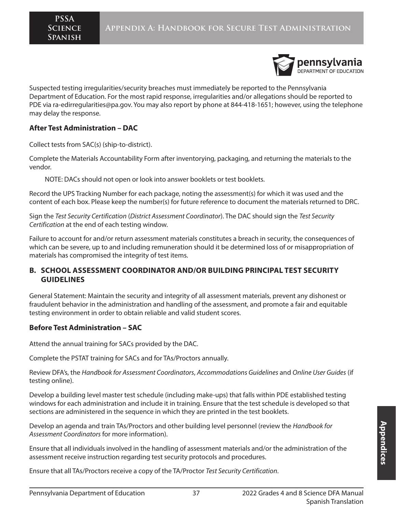

Suspected testing irregularities/security breaches must immediately be reported to the Pennsylvania Department of Education. For the most rapid response, irregularities and/or allegations should be reported to PDE via [ra-edirregularities@pa.gov](mailto:ra-edirregularities%40pa.gov?subject=). You may also report by phone at 844-418-1651; however, using the telephone may delay the response.

#### **After Test Administration – DAC**

Collect tests from SAC(s) (ship-to-district).

Complete the Materials Accountability Form after inventorying, packaging, and returning the materials to the vendor.

NOTE: DACs should not open or look into answer booklets or test booklets.

Record the UPS Tracking Number for each package, noting the assessment(s) for which it was used and the content of each box. Please keep the number(s) for future reference to document the materials returned to DRC.

Sign the *Test Security Certification* (*District Assessment Coordinator*). The DAC should sign the *Test Security Certification* at the end of each testing window.

Failure to account for and/or return assessment materials constitutes a breach in security, the consequences of which can be severe, up to and including remuneration should it be determined loss of or misappropriation of materials has compromised the integrity of test items.

#### **B. SCHOOL ASSESSMENT COORDINATOR AND/OR BUILDING PRINCIPAL TEST SECURITY GUIDELINES**

General Statement: Maintain the security and integrity of all assessment materials, prevent any dishonest or fraudulent behavior in the administration and handling of the assessment, and promote a fair and equitable testing environment in order to obtain reliable and valid student scores.

#### **Before Test Administration – SAC**

Attend the annual training for SACs provided by the DAC.

Complete the PSTAT training for SACs and for TAs/Proctors annually.

Review DFA's, the *Handbook for Assessment Coordinators*, *Accommodations Guidelines* and *Online User Guides* (if testing online).

Develop a building level master test schedule (including make-ups) that falls within PDE established testing windows for each administration and include it in training. Ensure that the test schedule is developed so that sections are administered in the sequence in which they are printed in the test booklets.

Develop an agenda and train TAs/Proctors and other building level personnel (review the *Handbook for Assessment Coordinators* for more information).

Ensure that all individuals involved in the handling of assessment materials and/or the administration of the assessment receive instruction regarding test security protocols and procedures.

Ensure that all TAs/Proctors receive a copy of the TA/Proctor *Test Security Certification*.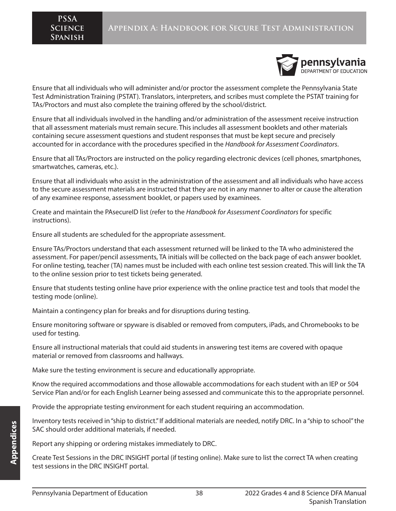

Ensure that all individuals who will administer and/or proctor the assessment complete the Pennsylvania State Test Administration Training (PSTAT). Translators, interpreters, and scribes must complete the PSTAT training for TAs/Proctors and must also complete the training offered by the school/district.

Ensure that all individuals involved in the handling and/or administration of the assessment receive instruction that all assessment materials must remain secure. This includes all assessment booklets and other materials containing secure assessment questions and student responses that must be kept secure and precisely accounted for in accordance with the procedures specified in the *Handbook for Assessment Coordinators*.

Ensure that all TAs/Proctors are instructed on the policy regarding electronic devices (cell phones, smartphones, smartwatches, cameras, etc.).

Ensure that all individuals who assist in the administration of the assessment and all individuals who have access to the secure assessment materials are instructed that they are not in any manner to alter or cause the alteration of any examinee response, assessment booklet, or papers used by examinees.

Create and maintain the PAsecureID list (refer to the *Handbook for Assessment Coordinators* for specific instructions).

Ensure all students are scheduled for the appropriate assessment.

Ensure TAs/Proctors understand that each assessment returned will be linked to the TA who administered the assessment. For paper/pencil assessments, TA initials will be collected on the back page of each answer booklet. For online testing, teacher (TA) names must be included with each online test session created. This will link the TA to the online session prior to test tickets being generated.

Ensure that students testing online have prior experience with the online practice test and tools that model the testing mode (online).

Maintain a contingency plan for breaks and for disruptions during testing.

Ensure monitoring software or spyware is disabled or removed from computers, iPads, and Chromebooks to be used for testing.

Ensure all instructional materials that could aid students in answering test items are covered with opaque material or removed from classrooms and hallways.

Make sure the testing environment is secure and educationally appropriate.

Know the required accommodations and those allowable accommodations for each student with an IEP or 504 Service Plan and/or for each English Learner being assessed and communicate this to the appropriate personnel.

Provide the appropriate testing environment for each student requiring an accommodation.

Inventory tests received in "ship to district." If additional materials are needed, notify DRC. In a "ship to school" the SAC should order additional materials, if needed.

Report any shipping or ordering mistakes immediately to DRC.

Create Test Sessions in the DRC INSIGHT portal (if testing online). Make sure to list the correct TA when creating test sessions in the DRC INSIGHT portal.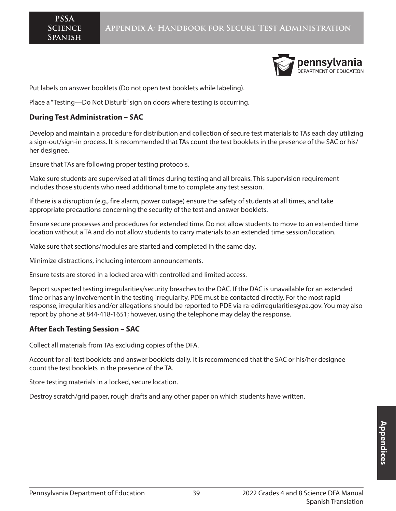

Put labels on answer booklets (Do not open test booklets while labeling).

Place a "Testing—Do Not Disturb" sign on doors where testing is occurring.

#### **During Test Administration – SAC**

Develop and maintain a procedure for distribution and collection of secure test materials to TAs each day utilizing a sign-out/sign-in process. It is recommended that TAs count the test booklets in the presence of the SAC or his/ her designee.

Ensure that TAs are following proper testing protocols.

Make sure students are supervised at all times during testing and all breaks. This supervision requirement includes those students who need additional time to complete any test session.

If there is a disruption (e.g., fire alarm, power outage) ensure the safety of students at all times, and take appropriate precautions concerning the security of the test and answer booklets.

Ensure secure processes and procedures for extended time. Do not allow students to move to an extended time location without a TA and do not allow students to carry materials to an extended time session/location.

Make sure that sections/modules are started and completed in the same day.

Minimize distractions, including intercom announcements.

Ensure tests are stored in a locked area with controlled and limited access.

Report suspected testing irregularities/security breaches to the DAC. If the DAC is unavailable for an extended time or has any involvement in the testing irregularity, PDE must be contacted directly. For the most rapid response, irregularities and/or allegations should be reported to PDE via [ra-edirregularities@pa.gov.](mailto:ra-edirregularities%40pa.gov?subject=) You may also report by phone at 844-418-1651; however, using the telephone may delay the response.

#### **After Each Testing Session – SAC**

Collect all materials from TAs excluding copies of the DFA.

Account for all test booklets and answer booklets daily. It is recommended that the SAC or his/her designee count the test booklets in the presence of the TA.

Store testing materials in a locked, secure location.

Destroy scratch/grid paper, rough drafts and any other paper on which students have written.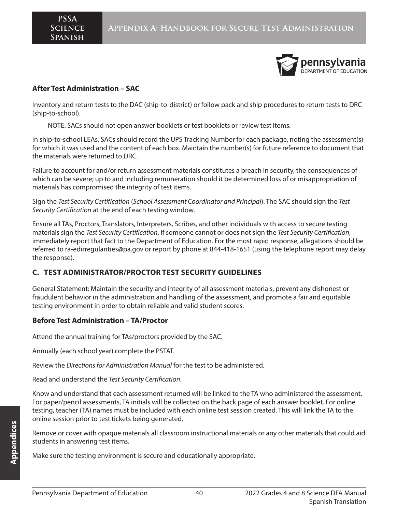

#### **After Test Administration – SAC**

Inventory and return tests to the DAC (ship-to-district) or follow pack and ship procedures to return tests to DRC (ship-to-school).

NOTE: SACs should not open answer booklets or test booklets or review test items.

In ship-to-school LEAs, SACs should record the UPS Tracking Number for each package, noting the assessment(s) for which it was used and the content of each box. Maintain the number(s) for future reference to document that the materials were returned to DRC.

Failure to account for and/or return assessment materials constitutes a breach in security, the consequences of which can be severe; up to and including remuneration should it be determined loss of or misappropriation of materials has compromised the integrity of test items.

Sign the *Test Security Certification* (*School Assessment Coordinator and Principal*). The SAC should sign the *Test Security Certification* at the end of each testing window.

Ensure all TAs, Proctors, Translators, Interpreters, Scribes, and other individuals with access to secure testing materials sign the *Test Security Certification*. If someone cannot or does not sign the *Test Security Certification*, immediately report that fact to the Department of Education. For the most rapid response, allegations should be referred to [ra-edirregularities@pa.gov](mailto:ra-edirregularities%40pa.gov?subject=) or report by phone at 844-418-1651 (using the telephone report may delay the response).

#### **C. TEST ADMINISTRATOR/PROCTOR TEST SECURITY GUIDELINES**

General Statement: Maintain the security and integrity of all assessment materials, prevent any dishonest or fraudulent behavior in the administration and handling of the assessment, and promote a fair and equitable testing environment in order to obtain reliable and valid student scores.

#### **Before Test Administration – TA/Proctor**

Attend the annual training for TAs/proctors provided by the SAC.

Annually (each school year) complete the PSTAT.

Review the *Directions for Administration Manual* for the test to be administered.

Read and understand the *Test Security Certification*.

Know and understand that each assessment returned will be linked to the TA who administered the assessment. For paper/pencil assessments, TA initials will be collected on the back page of each answer booklet. For online testing, teacher (TA) names must be included with each online test session created. This will link the TA to the online session prior to test tickets being generated.

Remove or cover with opaque materials all classroom instructional materials or any other materials that could aid students in answering test items.

Make sure the testing environment is secure and educationally appropriate.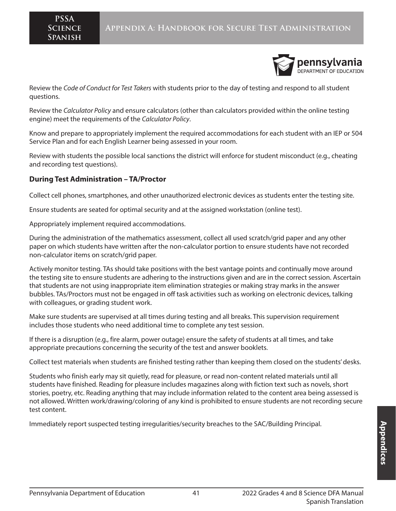

Review the *Code of Conduct for Test Takers* with students prior to the day of testing and respond to all student questions.

Review the *Calculator Policy* and ensure calculators (other than calculators provided within the online testing engine) meet the requirements of the *Calculator Policy*.

Know and prepare to appropriately implement the required accommodations for each student with an IEP or 504 Service Plan and for each English Learner being assessed in your room.

Review with students the possible local sanctions the district will enforce for student misconduct (e.g., cheating and recording test questions).

#### **During Test Administration – TA/Proctor**

Collect cell phones, smartphones, and other unauthorized electronic devices as students enter the testing site.

Ensure students are seated for optimal security and at the assigned workstation (online test).

Appropriately implement required accommodations.

During the administration of the mathematics assessment, collect all used scratch/grid paper and any other paper on which students have written after the non-calculator portion to ensure students have not recorded non-calculator items on scratch/grid paper.

Actively monitor testing. TAs should take positions with the best vantage points and continually move around the testing site to ensure students are adhering to the instructions given and are in the correct session. Ascertain that students are not using inappropriate item elimination strategies or making stray marks in the answer bubbles. TAs/Proctors must not be engaged in off task activities such as working on electronic devices, talking with colleagues, or grading student work.

Make sure students are supervised at all times during testing and all breaks. This supervision requirement includes those students who need additional time to complete any test session.

If there is a disruption (e.g., fire alarm, power outage) ensure the safety of students at all times, and take appropriate precautions concerning the security of the test and answer booklets.

Collect test materials when students are finished testing rather than keeping them closed on the students' desks.

Students who finish early may sit quietly, read for pleasure, or read non-content related materials until all students have finished. Reading for pleasure includes magazines along with fiction text such as novels, short stories, poetry, etc. Reading anything that may include information related to the content area being assessed is not allowed. Written work/drawing/coloring of any kind is prohibited to ensure students are not recording secure test content.

Immediately report suspected testing irregularities/security breaches to the SAC/Building Principal.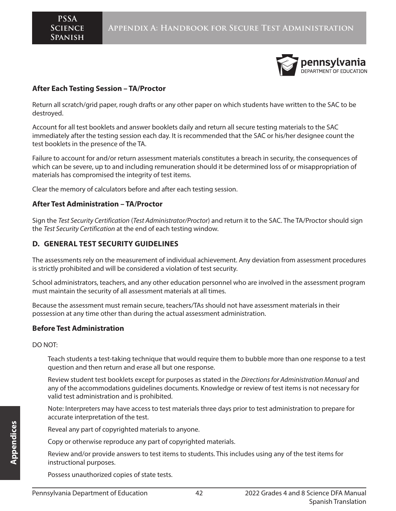

#### **After Each Testing Session – TA/Proctor**

Return all scratch/grid paper, rough drafts or any other paper on which students have written to the SAC to be destroyed.

Account for all test booklets and answer booklets daily and return all secure testing materials to the SAC immediately after the testing session each day. It is recommended that the SAC or his/her designee count the test booklets in the presence of the TA.

Failure to account for and/or return assessment materials constitutes a breach in security, the consequences of which can be severe, up to and including remuneration should it be determined loss of or misappropriation of materials has compromised the integrity of test items.

Clear the memory of calculators before and after each testing session.

#### **After Test Administration – TA/Proctor**

Sign the *Test Security Certification* (*Test Administrator/Proctor*) and return it to the SAC. The TA/Proctor should sign the *Test Security Certification* at the end of each testing window.

#### **D. GENERAL TEST SECURITY GUIDELINES**

The assessments rely on the measurement of individual achievement. Any deviation from assessment procedures is strictly prohibited and will be considered a violation of test security.

School administrators, teachers, and any other education personnel who are involved in the assessment program must maintain the security of all assessment materials at all times.

Because the assessment must remain secure, teachers/TAs should not have assessment materials in their possession at any time other than during the actual assessment administration.

#### **Before Test Administration**

DO NOT:

Teach students a test-taking technique that would require them to bubble more than one response to a test question and then return and erase all but one response.

Review student test booklets except for purposes as stated in the *Directions for Administration Manual* and any of the accommodations guidelines documents. Knowledge or review of test items is not necessary for valid test administration and is prohibited.

Note: Interpreters may have access to test materials three days prior to test administration to prepare for accurate interpretation of the test.

Reveal any part of copyrighted materials to anyone.

Copy or otherwise reproduce any part of copyrighted materials.

Review and/or provide answers to test items to students. This includes using any of the test items for instructional purposes.

Possess unauthorized copies of state tests.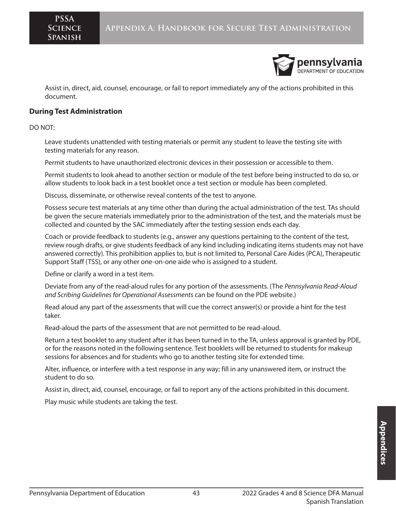

Assist in, direct, aid, counsel, encourage, or fail to report immediately any of the actions prohibited in this document.

#### **During Test Administration**

DO NOT:

Leave students unattended with testing materials or permit any student to leave the testing site with testing materials for any reason.

Permit students to have unauthorized electronic devices in their possession or accessible to them.

Permit students to look ahead to another section or module of the test before being instructed to do so, or allow students to look back in a test booklet once a test section or module has been completed.

Discuss, disseminate, or otherwise reveal contents of the test to anyone.

Possess secure test materials at any time other than during the actual administration of the test. TAs should be given the secure materials immediately prior to the administration of the test, and the materials must be collected and counted by the SAC immediately after the testing session ends each day.

Coach or provide feedback to students (e.g., answer any questions pertaining to the content of the test, review rough drafts, or give students feedback of any kind including indicating items students may not have answered correctly). This prohibition applies to, but is not limited to, Personal Care Aides (PCA), Therapeutic Support Staff (TSS), or any other one-on-one aide who is assigned to a student.

Define or clarify a word in a test item.

Deviate from any of the read-aloud rules for any portion of the assessments. (The *Pennsylvania Read-Aloud and Scribing Guidelines for Operational Assessments* can be found on the PDE website.)

Read aloud any part of the assessments that will cue the correct answer(s) or provide a hint for the test taker.

Read-aloud the parts of the assessment that are not permitted to be read-aloud.

Return a test booklet to any student after it has been turned in to the TA, unless approval is granted by PDE, or for the reasons noted in the following sentence. Test booklets will be returned to students for makeup sessions for absences and for students who go to another testing site for extended time.

Alter, influence, or interfere with a test response in any way; fill in any unanswered item, or instruct the student to do so.

Assist in, direct, aid, counsel, encourage, or fail to report any of the actions prohibited in this document.

Play music while students are taking the test.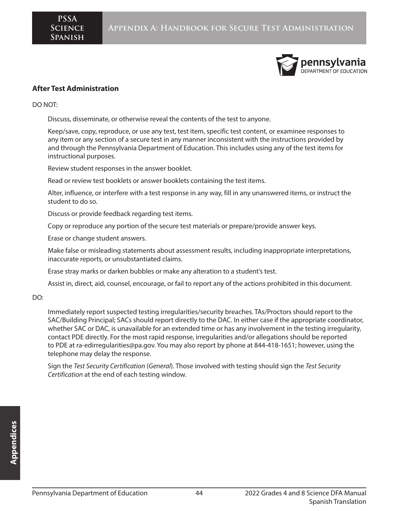

#### **After Test Administration**

DO NOT:

Discuss, disseminate, or otherwise reveal the contents of the test to anyone.

Keep/save, copy, reproduce, or use any test, test item, specific test content, or examinee responses to any item or any section of a secure test in any manner inconsistent with the instructions provided by and through the Pennsylvania Department of Education. This includes using any of the test items for instructional purposes.

Review student responses in the answer booklet.

Read or review test booklets or answer booklets containing the test items.

Alter, influence, or interfere with a test response in any way, fill in any unanswered items, or instruct the student to do so.

Discuss or provide feedback regarding test items.

Copy or reproduce any portion of the secure test materials or prepare/provide answer keys.

Erase or change student answers.

Make false or misleading statements about assessment results, including inappropriate interpretations, inaccurate reports, or unsubstantiated claims.

Erase stray marks or darken bubbles or make any alteration to a student's test.

Assist in, direct, aid, counsel, encourage, or fail to report any of the actions prohibited in this document.

DO:

Immediately report suspected testing irregularities/security breaches. TAs/Proctors should report to the SAC/Building Principal; SACs should report directly to the DAC. In either case if the appropriate coordinator, whether SAC or DAC, is unavailable for an extended time or has any involvement in the testing irregularity, contact PDE directly. For the most rapid response, irregularities and/or allegations should be reported to PDE at [ra-edirregularities@pa.gov.](mailto:ra-edirregularities%40pa.gov?subject=) You may also report by phone at 844-418-1651; however, using the telephone may delay the response.

Sign the *Test Security Certification* (*General*). Those involved with testing should sign the *Test Security Certification* at the end of each testing window.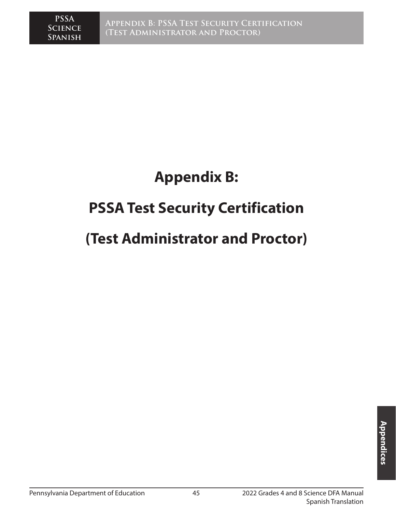# **Appendix B:**

# <span id="page-48-0"></span>**PSSA Test Security Certification**

### **(Test Administrator and Proctor)**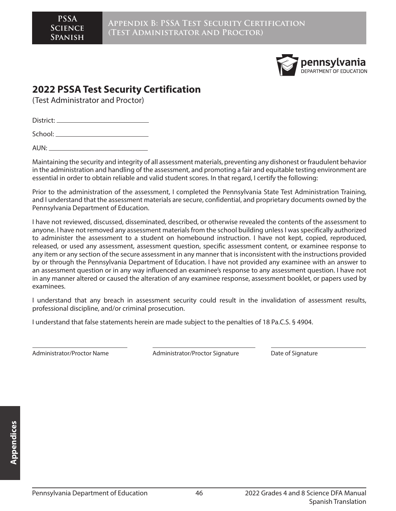

### **2022 PSSA Test Security Certification**

(Test Administrator and Proctor)

District:

School:

AUN:

Maintaining the security and integrity of all assessment materials, preventing any dishonest or fraudulent behavior in the administration and handling of the assessment, and promoting a fair and equitable testing environment are essential in order to obtain reliable and valid student scores. In that regard, I certify the following:

Prior to the administration of the assessment, I completed the Pennsylvania State Test Administration Training, and I understand that the assessment materials are secure, confidential, and proprietary documents owned by the Pennsylvania Department of Education.

I have not reviewed, discussed, disseminated, described, or otherwise revealed the contents of the assessment to anyone. I have not removed any assessment materials from the school building unless I was specifically authorized to administer the assessment to a student on homebound instruction. I have not kept, copied, reproduced, released, or used any assessment, assessment question, specific assessment content, or examinee response to any item or any section of the secure assessment in any manner that is inconsistent with the instructions provided by or through the Pennsylvania Department of Education. I have not provided any examinee with an answer to an assessment question or in any way influenced an examinee's response to any assessment question. I have not in any manner altered or caused the alteration of any examinee response, assessment booklet, or papers used by examinees.

I understand that any breach in assessment security could result in the invalidation of assessment results, professional discipline, and/or criminal prosecution.

I understand that false statements herein are made subject to the penalties of 18 Pa.C.S. § 4904.

Administrator/Proctor Name **Administrator/Proctor Signature** Date of Signature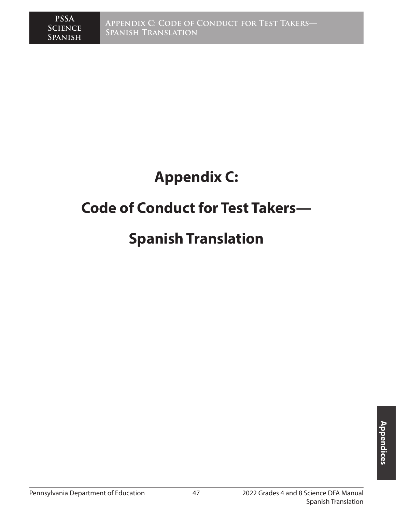# **Appendix C:**

# <span id="page-50-0"></span>**Code of Conduct for Test Takers—**

## **Spanish Translation**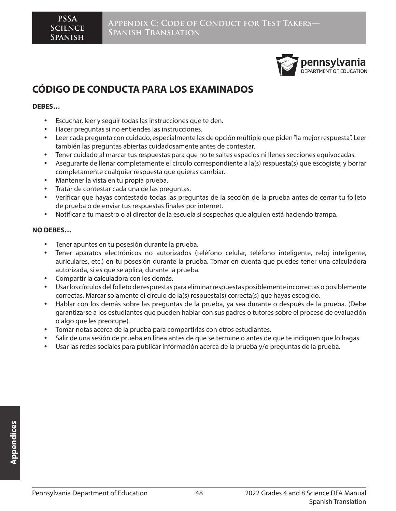

### **CÓDIGO DE CONDUCTA PARA LOS EXAMINADOS**

#### **DEBES…**

- Escuchar, leer y seguir todas las instrucciones que te den.
- Hacer preguntas si no entiendes las instrucciones.
- y Leer cada pregunta con cuidado, especialmente las de opción múltiple que piden "la mejor respuesta". Leer también las preguntas abiertas cuidadosamente antes de contestar.
- Tener cuidado al marcar tus respuestas para que no te saltes espacios ni llenes secciones equivocadas.
- Asegurarte de llenar completamente el círculo correspondiente a la(s) respuesta(s) que escogiste, y borrar completamente cualquier respuesta que quieras cambiar.
- Mantener la vista en tu propia prueba.
- Tratar de contestar cada una de las preguntas.
- y Verificar que hayas contestado todas las preguntas de la sección de la prueba antes de cerrar tu folleto de prueba o de enviar tus respuestas finales por internet.
- y Notificar a tu maestro o al director de la escuela si sospechas que alguien está haciendo trampa.

#### **NO DEBES…**

- Tener apuntes en tu posesión durante la prueba.
- y Tener aparatos electrónicos no autorizados (teléfono celular, teléfono inteligente, reloj inteligente, auriculares, etc.) en tu posesión durante la prueba. Tomar en cuenta que puedes tener una calculadora autorizada, si es que se aplica, durante la prueba.
- Compartir la calculadora con los demás.
- y Usar los círculos del folleto de respuestas para eliminar respuestas posiblemente incorrectas o posiblemente correctas. Marcar solamente el círculo de la(s) respuesta(s) correcta(s) que hayas escogido.
- Hablar con los demás sobre las preguntas de la prueba, ya sea durante o después de la prueba. (Debe garantizarse a los estudiantes que pueden hablar con sus padres o tutores sobre el proceso de evaluación o algo que les preocupe).
- Tomar notas acerca de la prueba para compartirlas con otros estudiantes.
- Salir de una sesión de prueba en línea antes de que se termine o antes de que te indiquen que lo hagas.
- Usar las redes sociales para publicar información acerca de la prueba y/o preguntas de la prueba.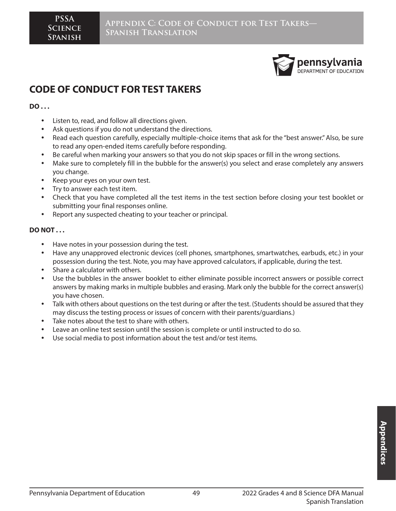

### **CODE OF CONDUCT FOR TEST TAKERS**

#### **DO ...**

- Listen to, read, and follow all directions given.
- Ask questions if you do not understand the directions.
- Read each question carefully, especially multiple-choice items that ask for the "best answer." Also, be sure to read any open-ended items carefully before responding.
- Be careful when marking your answers so that you do not skip spaces or fill in the wrong sections.
- Make sure to completely fill in the bubble for the answer(s) you select and erase completely any answers you change.
- Keep your eyes on your own test.
- Try to answer each test item.
- Check that you have completed all the test items in the test section before closing your test booklet or submitting your final responses online.
- Report any suspected cheating to your teacher or principal.

#### **DO NOT ...**

- Have notes in your possession during the test.
- Have any unapproved electronic devices (cell phones, smartphones, smartwatches, earbuds, etc.) in your possession during the test. Note, you may have approved calculators, if applicable, during the test.
- Share a calculator with others.
- Use the bubbles in the answer booklet to either eliminate possible incorrect answers or possible correct answers by making marks in multiple bubbles and erasing. Mark only the bubble for the correct answer(s) you have chosen.
- Talk with others about questions on the test during or after the test. (Students should be assured that they may discuss the testing process or issues of concern with their parents/guardians.)
- Take notes about the test to share with others.
- Leave an online test session until the session is complete or until instructed to do so.
- Use social media to post information about the test and/or test items.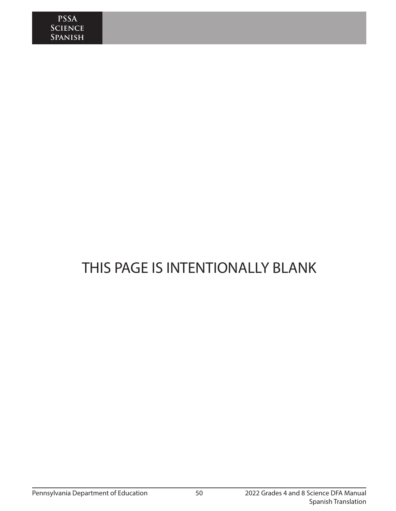

# THIS PAGE IS INTENTIONALLY BLANK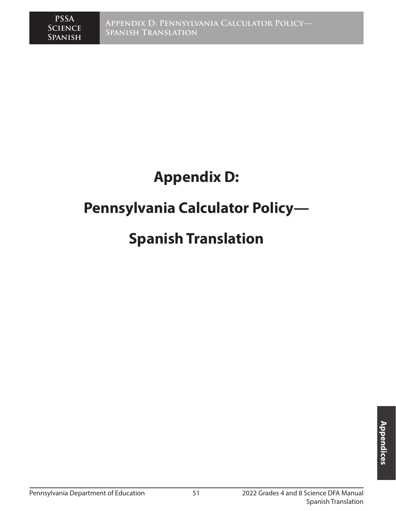# **Appendix D:**

# <span id="page-54-0"></span>**Pennsylvania Calculator Policy—**

## **Spanish Translation**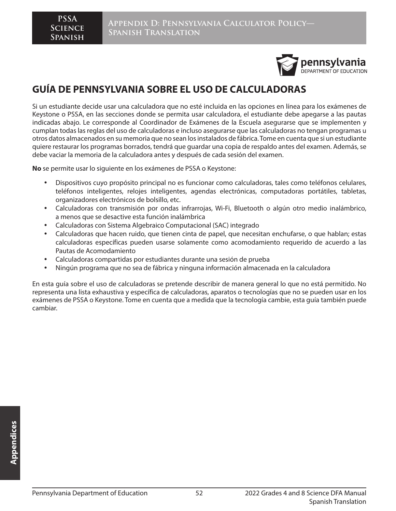

### **GUÍA DE PENNSYLVANIA SOBRE EL USO DE CALCULADORAS**

Si un estudiante decide usar una calculadora que no esté incluida en las opciones en línea para los exámenes de Keystone o PSSA, en las secciones donde se permita usar calculadora, el estudiante debe apegarse a las pautas indicadas abajo. Le corresponde al Coordinador de Exámenes de la Escuela asegurarse que se implementen y cumplan todas las reglas del uso de calculadoras e incluso asegurarse que las calculadoras no tengan programas u otros datos almacenados en su memoria que no sean los instalados de fábrica. Tome en cuenta que si un estudiante quiere restaurar los programas borrados, tendrá que guardar una copia de respaldo antes del examen. Además, se debe vaciar la memoria de la calculadora antes y después de cada sesión del examen.

**No** se permite usar lo siguiente en los exámenes de PSSA o Keystone:

- Dispositivos cuyo propósito principal no es funcionar como calculadoras, tales como teléfonos celulares, teléfonos inteligentes, relojes inteligentes, agendas electrónicas, computadoras portátiles, tabletas, organizadores electrónicos de bolsillo, etc.
- Calculadoras con transmisión por ondas infrarrojas, Wi-Fi, Bluetooth o algún otro medio inalámbrico, a menos que se desactive esta función inalámbrica
- y Calculadoras con Sistema Algebraico Computacional (SAC) integrado
- Calculadoras que hacen ruido, que tienen cinta de papel, que necesitan enchufarse, o que hablan; estas calculadoras específicas pueden usarse solamente como acomodamiento requerido de acuerdo a las Pautas de Acomodamiento
- y Calculadoras compartidas por estudiantes durante una sesión de prueba
- y Ningún programa que no sea de fábrica y ninguna información almacenada en la calculadora

En esta guía sobre el uso de calculadoras se pretende describir de manera general lo que no está permitido. No representa una lista exhaustiva y específica de calculadoras, aparatos o tecnologías que no se pueden usar en los exámenes de PSSA o Keystone. Tome en cuenta que a medida que la tecnología cambie, esta guía también puede cambiar.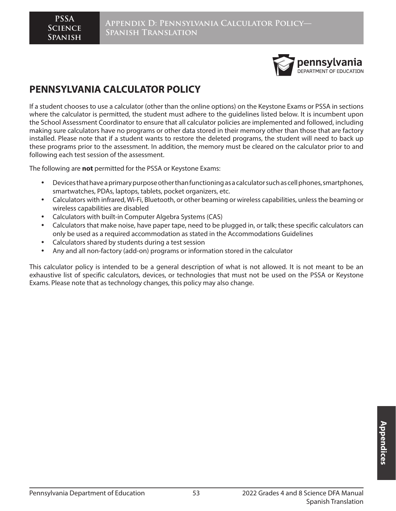

### **PENNSYLVANIA CALCULATOR POLICY**

If a student chooses to use a calculator (other than the online options) on the Keystone Exams or PSSA in sections where the calculator is permitted, the student must adhere to the guidelines listed below. It is incumbent upon the School Assessment Coordinator to ensure that all calculator policies are implemented and followed, including making sure calculators have no programs or other data stored in their memory other than those that are factory installed. Please note that if a student wants to restore the deleted programs, the student will need to back up these programs prior to the assessment. In addition, the memory must be cleared on the calculator prior to and following each test session of the assessment.

The following are **not** permitted for the PSSA or Keystone Exams:

- y Devices that have a primary purpose other than functioning as a calculator such as cell phones, smartphones, smartwatches, PDAs, laptops, tablets, pocket organizers, etc.
- y Calculators with infrared, Wi-Fi, Bluetooth, or other beaming or wireless capabilities, unless the beaming or wireless capabilities are disabled
- Calculators with built-in Computer Algebra Systems (CAS)
- Calculators that make noise, have paper tape, need to be plugged in, or talk; these specific calculators can only be used as a required accommodation as stated in the Accommodations Guidelines
- Calculators shared by students during a test session
- Any and all non-factory (add-on) programs or information stored in the calculator

This calculator policy is intended to be a general description of what is not allowed. It is not meant to be an exhaustive list of specific calculators, devices, or technologies that must not be used on the PSSA or Keystone Exams. Please note that as technology changes, this policy may also change.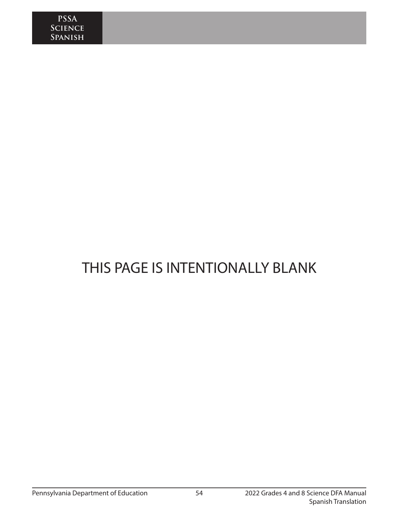

# THIS PAGE IS INTENTIONALLY BLANK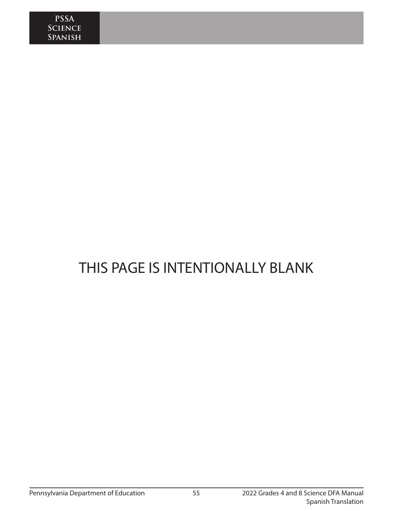| <b>PSSA</b>          |  |  |
|----------------------|--|--|
| SCIENCE <sup>1</sup> |  |  |
| <b>SPANISH</b>       |  |  |

# THIS PAGE IS INTENTIONALLY BLANK